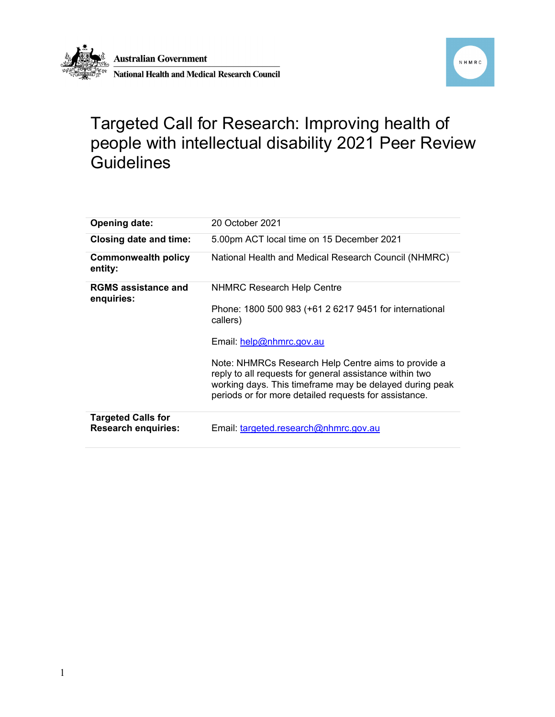



## Targeted Call for Research: Improving health of people with intellectual disability 2021 Peer Review **Guidelines**

| <b>Opening date:</b>                                    | 20 October 2021                                                                                                                                                                                                                    |
|---------------------------------------------------------|------------------------------------------------------------------------------------------------------------------------------------------------------------------------------------------------------------------------------------|
| <b>Closing date and time:</b>                           | 5.00pm ACT local time on 15 December 2021                                                                                                                                                                                          |
| <b>Commonwealth policy</b><br>entity:                   | National Health and Medical Research Council (NHMRC)                                                                                                                                                                               |
| <b>RGMS</b> assistance and<br>enquiries:                | <b>NHMRC Research Help Centre</b>                                                                                                                                                                                                  |
|                                                         | Phone: 1800 500 983 (+61 2 6217 9451 for international<br>callers)                                                                                                                                                                 |
|                                                         | Email: help@nhmrc.gov.au                                                                                                                                                                                                           |
|                                                         | Note: NHMRCs Research Help Centre aims to provide a<br>reply to all requests for general assistance within two<br>working days. This timeframe may be delayed during peak<br>periods or for more detailed requests for assistance. |
| <b>Targeted Calls for</b><br><b>Research enquiries:</b> | Email: targeted.research@nhmrc.gov.au                                                                                                                                                                                              |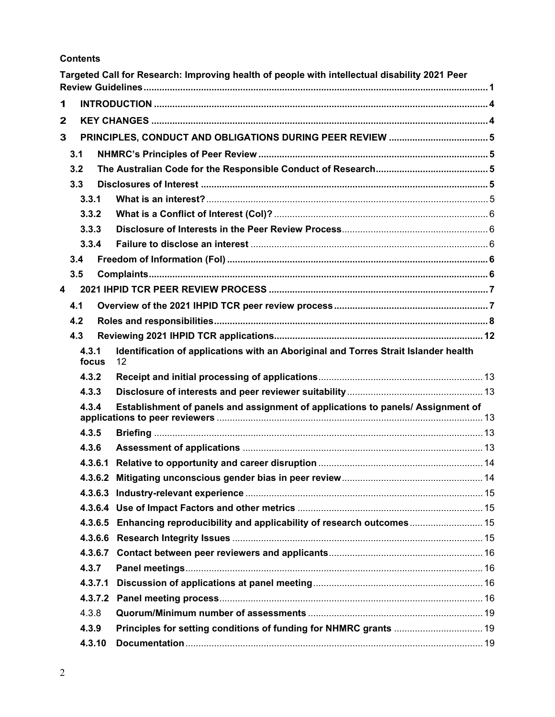### **Contents**

|              |        |         | Targeted Call for Research: Improving health of people with intellectual disability 2021 Peer |  |
|--------------|--------|---------|-----------------------------------------------------------------------------------------------|--|
| 1            |        |         |                                                                                               |  |
| $\mathbf{2}$ |        |         |                                                                                               |  |
| 3            |        |         |                                                                                               |  |
|              | 3.1    |         |                                                                                               |  |
|              | 3.2    |         |                                                                                               |  |
|              | 3.3    |         |                                                                                               |  |
|              | 3.3.1  |         |                                                                                               |  |
|              | 3.3.2  |         |                                                                                               |  |
|              | 3.3.3  |         |                                                                                               |  |
|              | 3.3.4  |         |                                                                                               |  |
|              | 3.4    |         |                                                                                               |  |
|              | 3.5    |         |                                                                                               |  |
| 4            |        |         |                                                                                               |  |
|              | 4.1    |         |                                                                                               |  |
|              | 4.2    |         |                                                                                               |  |
|              | 4.3    |         |                                                                                               |  |
|              | 4.3.1  |         | Identification of applications with an Aboriginal and Torres Strait Islander health           |  |
|              | focus  |         | 12                                                                                            |  |
|              | 4.3.2  |         |                                                                                               |  |
|              | 4.3.3  |         |                                                                                               |  |
|              | 4.3.4  |         | Establishment of panels and assignment of applications to panels/ Assignment of               |  |
|              |        |         |                                                                                               |  |
|              | 4.3.5  |         |                                                                                               |  |
|              | 4.3.6  |         |                                                                                               |  |
|              |        | 4.3.6.1 |                                                                                               |  |
|              |        |         |                                                                                               |  |
|              |        |         |                                                                                               |  |
|              |        |         |                                                                                               |  |
|              |        | 4.3.6.5 |                                                                                               |  |
|              |        |         |                                                                                               |  |
|              |        |         |                                                                                               |  |
|              | 4.3.7  |         |                                                                                               |  |
|              |        | 4.3.7.1 |                                                                                               |  |
|              |        |         |                                                                                               |  |
|              | 4.3.8  |         |                                                                                               |  |
|              | 4.3.9  |         |                                                                                               |  |
|              | 4.3.10 |         |                                                                                               |  |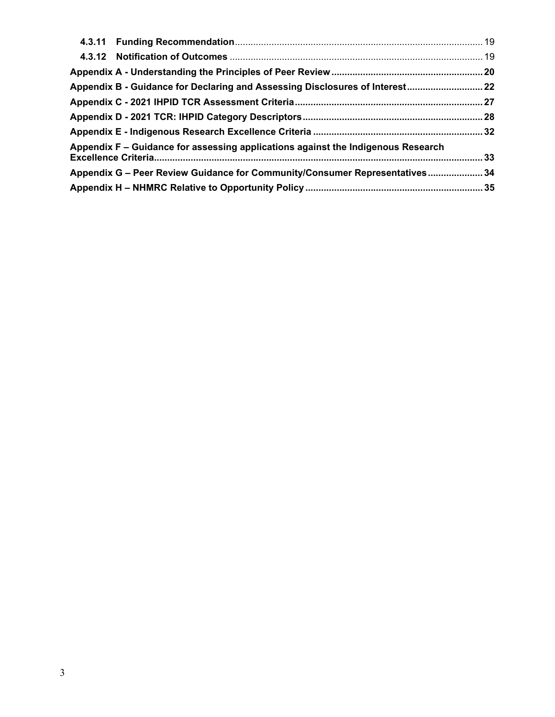| Appendix B - Guidance for Declaring and Assessing Disclosures of Interest 22     |  |
|----------------------------------------------------------------------------------|--|
|                                                                                  |  |
|                                                                                  |  |
|                                                                                  |  |
| Appendix F – Guidance for assessing applications against the Indigenous Research |  |
| Appendix G - Peer Review Guidance for Community/Consumer Representatives 34      |  |
|                                                                                  |  |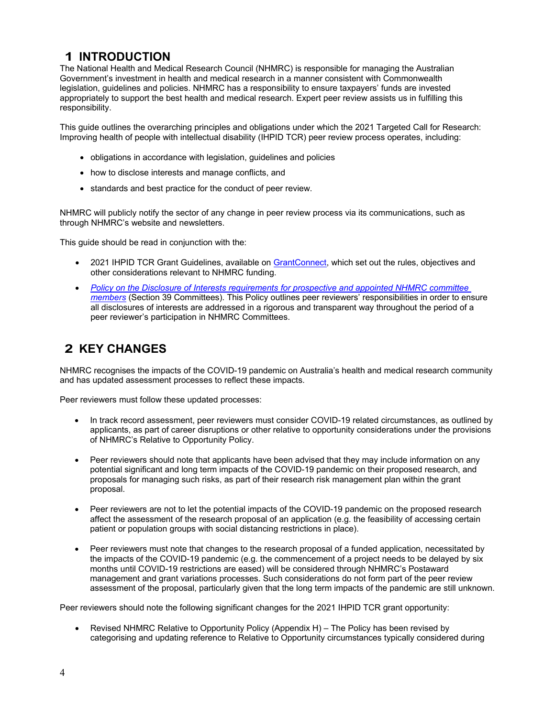## **1 INTRODUCTION**

The National Health and Medical Research Council (NHMRC) is responsible for managing the Australian Government's investment in health and medical research in a manner consistent with Commonwealth legislation, guidelines and policies. NHMRC has a responsibility to ensure taxpayers' funds are invested appropriately to support the best health and medical research. Expert peer review assists us in fulfilling this responsibility.

This guide outlines the overarching principles and obligations under which the 2021 Targeted Call for Research: Improving health of people with intellectual disability (IHPID TCR) peer review process operates, including:

- obligations in accordance with legislation, guidelines and policies
- how to disclose interests and manage conflicts, and
- standards and best practice for the conduct of peer review.

NHMRC will publicly notify the sector of any change in peer review process via its communications, such as through NHMRC's website and newsletters.

This guide should be read in conjunction with the:

- 2021 IHPID TCR Grant Guidelines, available on GrantConnect, which set out the rules, objectives and other considerations relevant to NHMRC funding.
- *Policy on the Disclosure of Interests requirements for prospective and appointed NHMRC committee members* (Section 39 Committees). This Policy outlines peer reviewers' responsibilities in order to ensure all disclosures of interests are addressed in a rigorous and transparent way throughout the period of a peer reviewer's participation in NHMRC Committees.

## **2 KEY CHANGES**

NHMRC recognises the impacts of the COVID-19 pandemic on Australia's health and medical research community and has updated assessment processes to reflect these impacts.

Peer reviewers must follow these updated processes:

- In track record assessment, peer reviewers must consider COVID-19 related circumstances, as outlined by applicants, as part of career disruptions or other relative to opportunity considerations under the provisions of NHMRC's Relative to Opportunity Policy.
- Peer reviewers should note that applicants have been advised that they may include information on any potential significant and long term impacts of the COVID-19 pandemic on their proposed research, and proposals for managing such risks, as part of their research risk management plan within the grant proposal.
- Peer reviewers are not to let the potential impacts of the COVID-19 pandemic on the proposed research affect the assessment of the research proposal of an application (e.g. the feasibility of accessing certain patient or population groups with social distancing restrictions in place).
- Peer reviewers must note that changes to the research proposal of a funded application, necessitated by the impacts of the COVID-19 pandemic (e.g. the commencement of a project needs to be delayed by six months until COVID-19 restrictions are eased) will be considered through NHMRC's Postaward management and grant variations processes. Such considerations do not form part of the peer review assessment of the proposal, particularly given that the long term impacts of the pandemic are still unknown.

Peer reviewers should note the following significant changes for the 2021 IHPID TCR grant opportunity:

 Revised NHMRC Relative to Opportunity Policy (Appendix H) – The Policy has been revised by categorising and updating reference to Relative to Opportunity circumstances typically considered during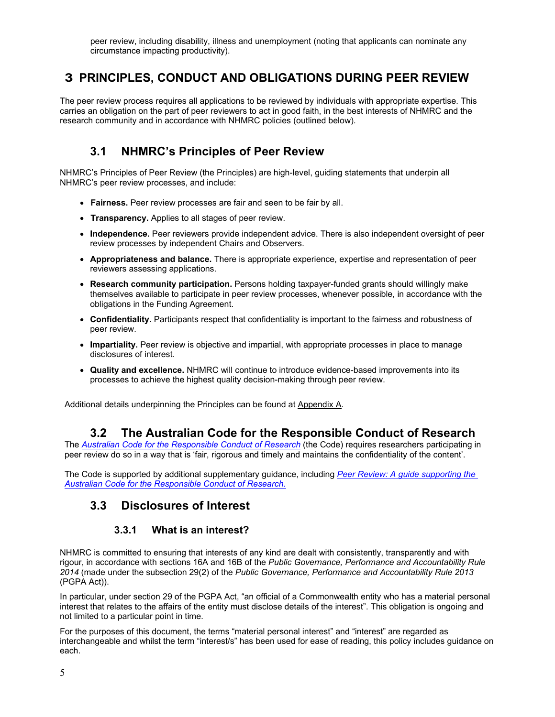peer review, including disability, illness and unemployment (noting that applicants can nominate any circumstance impacting productivity).

## **3 PRINCIPLES, CONDUCT AND OBLIGATIONS DURING PEER REVIEW**

The peer review process requires all applications to be reviewed by individuals with appropriate expertise. This carries an obligation on the part of peer reviewers to act in good faith, in the best interests of NHMRC and the research community and in accordance with NHMRC policies (outlined below).

## **3.1 NHMRC's Principles of Peer Review**

NHMRC's Principles of Peer Review (the Principles) are high-level, guiding statements that underpin all NHMRC's peer review processes, and include:

- **Fairness.** Peer review processes are fair and seen to be fair by all.
- **Transparency.** Applies to all stages of peer review.
- **Independence.** Peer reviewers provide independent advice. There is also independent oversight of peer review processes by independent Chairs and Observers.
- **Appropriateness and balance.** There is appropriate experience, expertise and representation of peer reviewers assessing applications.
- **Research community participation.** Persons holding taxpayer-funded grants should willingly make themselves available to participate in peer review processes, whenever possible, in accordance with the obligations in the Funding Agreement.
- **Confidentiality.** Participants respect that confidentiality is important to the fairness and robustness of peer review.
- **Impartiality.** Peer review is objective and impartial, with appropriate processes in place to manage disclosures of interest.
- **Quality and excellence.** NHMRC will continue to introduce evidence-based improvements into its processes to achieve the highest quality decision-making through peer review.

Additional details underpinning the Principles can be found at Appendix A.

## **3.2 The Australian Code for the Responsible Conduct of Research**

The *Australian Code for the Responsible Conduct of Research* (the Code) requires researchers participating in peer review do so in a way that is 'fair, rigorous and timely and maintains the confidentiality of the content'.

The Code is supported by additional supplementary guidance, including *Peer Review: A guide supporting the Australian Code for the Responsible Conduct of Research*.

## **3.3 Disclosures of Interest**

### **3.3.1 What is an interest?**

NHMRC is committed to ensuring that interests of any kind are dealt with consistently, transparently and with rigour, in accordance with sections 16A and 16B of the *Public Governance, Performance and Accountability Rule 2014* (made under the subsection 29(2) of the *Public Governance, Performance and Accountability Rule 2013*  (PGPA Act)).

In particular, under section 29 of the PGPA Act, "an official of a Commonwealth entity who has a material personal interest that relates to the affairs of the entity must disclose details of the interest". This obligation is ongoing and not limited to a particular point in time.

For the purposes of this document, the terms "material personal interest" and "interest" are regarded as interchangeable and whilst the term "interest/s" has been used for ease of reading, this policy includes guidance on each.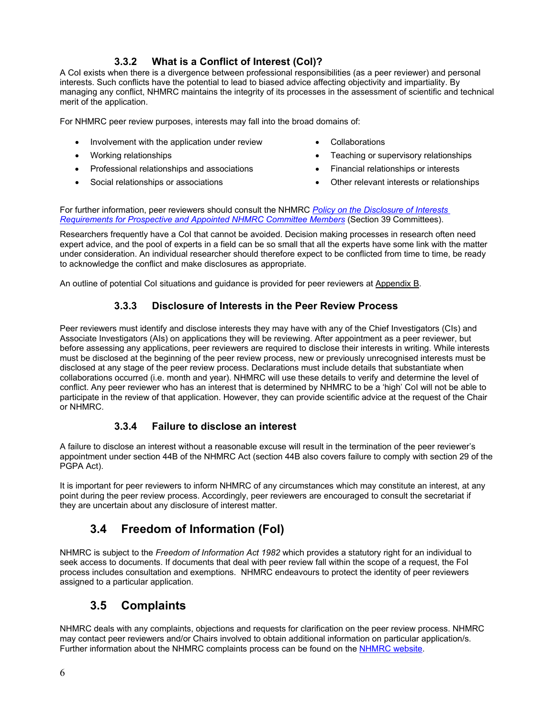## **3.3.2 What is a Conflict of Interest (CoI)?**

A CoI exists when there is a divergence between professional responsibilities (as a peer reviewer) and personal interests. Such conflicts have the potential to lead to biased advice affecting objectivity and impartiality. By managing any conflict, NHMRC maintains the integrity of its processes in the assessment of scientific and technical merit of the application.

For NHMRC peer review purposes, interests may fall into the broad domains of:

- Involvement with the application under review Collaborations
- 
- Professional relationships and associations **Financial relationships or interests**
- 
- 
- Working relationships **Teaching or supervisory relationships Teaching or supervisory relationships** 
	-
- Social relationships or associations **Social relationships or associations Other relevant interests or relationships**

For further information, peer reviewers should consult the NHMRC *Policy on the Disclosure of Interests Requirements for Prospective and Appointed NHMRC Committee Members* (Section 39 Committees).

Researchers frequently have a CoI that cannot be avoided. Decision making processes in research often need expert advice, and the pool of experts in a field can be so small that all the experts have some link with the matter under consideration. An individual researcher should therefore expect to be conflicted from time to time, be ready to acknowledge the conflict and make disclosures as appropriate.

An outline of potential CoI situations and guidance is provided for peer reviewers at Appendix B.

## **3.3.3 Disclosure of Interests in the Peer Review Process**

Peer reviewers must identify and disclose interests they may have with any of the Chief Investigators (CIs) and Associate Investigators (AIs) on applications they will be reviewing. After appointment as a peer reviewer, but before assessing any applications, peer reviewers are required to disclose their interests in writing. While interests must be disclosed at the beginning of the peer review process, new or previously unrecognised interests must be disclosed at any stage of the peer review process. Declarations must include details that substantiate when collaborations occurred (i.e. month and year). NHMRC will use these details to verify and determine the level of conflict. Any peer reviewer who has an interest that is determined by NHMRC to be a 'high' CoI will not be able to participate in the review of that application. However, they can provide scientific advice at the request of the Chair or NHMRC.

## **3.3.4 Failure to disclose an interest**

A failure to disclose an interest without a reasonable excuse will result in the termination of the peer reviewer's appointment under section 44B of the NHMRC Act (section 44B also covers failure to comply with section 29 of the PGPA Act).

It is important for peer reviewers to inform NHMRC of any circumstances which may constitute an interest, at any point during the peer review process. Accordingly, peer reviewers are encouraged to consult the secretariat if they are uncertain about any disclosure of interest matter.

## **3.4 Freedom of Information (FoI)**

NHMRC is subject to the *Freedom of Information Act 1982* which provides a statutory right for an individual to seek access to documents. If documents that deal with peer review fall within the scope of a request, the FoI process includes consultation and exemptions. NHMRC endeavours to protect the identity of peer reviewers assigned to a particular application.

## **3.5 Complaints**

NHMRC deals with any complaints, objections and requests for clarification on the peer review process. NHMRC may contact peer reviewers and/or Chairs involved to obtain additional information on particular application/s. Further information about the NHMRC complaints process can be found on the NHMRC website.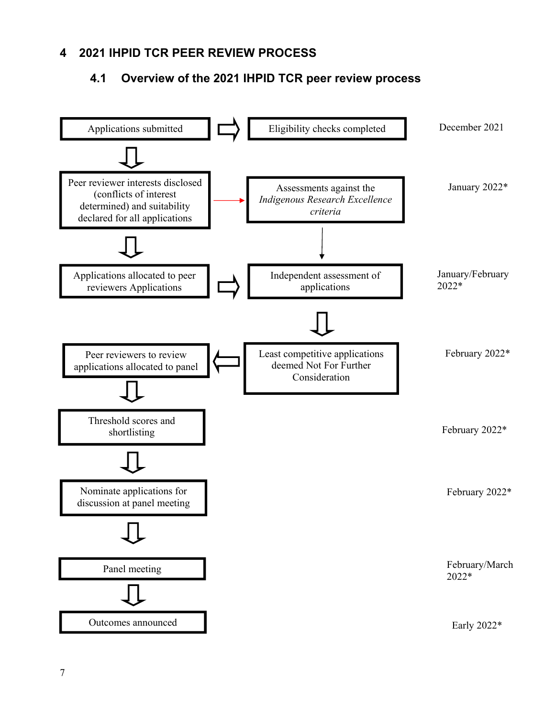## **4 2021 IHPID TCR PEER REVIEW PROCESS**

## **4.1 Overview of the 2021 IHPID TCR peer review process**

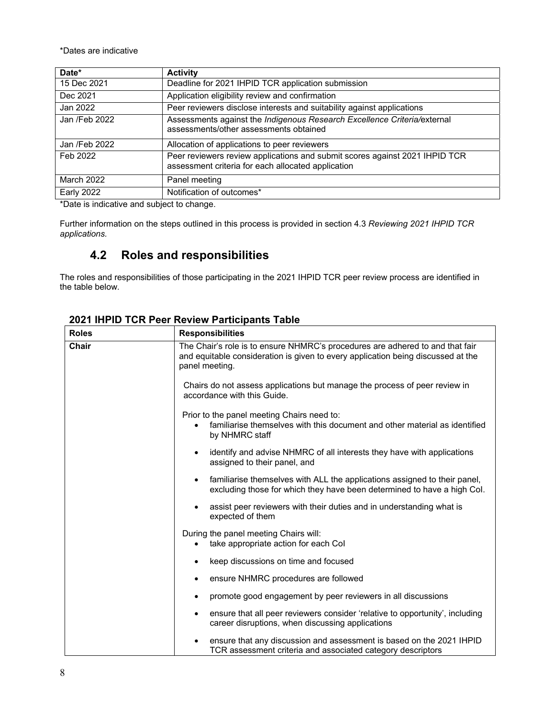\*Dates are indicative

| Date*             | <b>Activity</b>                                                                                                                   |
|-------------------|-----------------------------------------------------------------------------------------------------------------------------------|
| 15 Dec 2021       | Deadline for 2021 IHPID TCR application submission                                                                                |
| Dec 2021          | Application eligibility review and confirmation                                                                                   |
| Jan 2022          | Peer reviewers disclose interests and suitability against applications                                                            |
| Jan /Feb 2022     | Assessments against the Indigenous Research Excellence Criteria/external<br>assessments/other assessments obtained                |
| Jan /Feb 2022     | Allocation of applications to peer reviewers                                                                                      |
| Feb 2022          | Peer reviewers review applications and submit scores against 2021 IHPID TCR<br>assessment criteria for each allocated application |
| March 2022        | Panel meeting                                                                                                                     |
| <b>Early 2022</b> | Notification of outcomes*                                                                                                         |

\*Date is indicative and subject to change.

Further information on the steps outlined in this process is provided in section 4.3 *Reviewing 2021 IHPID TCR applications.*

## **4.2 Roles and responsibilities**

The roles and responsibilities of those participating in the 2021 IHPID TCR peer review process are identified in the table below.

| <b>Roles</b> | <b>Responsibilities</b>                                                                                                                                                                                                                                                                                                                                                                                                                        |  |
|--------------|------------------------------------------------------------------------------------------------------------------------------------------------------------------------------------------------------------------------------------------------------------------------------------------------------------------------------------------------------------------------------------------------------------------------------------------------|--|
| Chair        | The Chair's role is to ensure NHMRC's procedures are adhered to and that fair<br>and equitable consideration is given to every application being discussed at the<br>panel meeting.<br>Chairs do not assess applications but manage the process of peer review in<br>accordance with this Guide.<br>Prior to the panel meeting Chairs need to:<br>familiarise themselves with this document and other material as identified<br>by NHMRC staff |  |
|              |                                                                                                                                                                                                                                                                                                                                                                                                                                                |  |
|              |                                                                                                                                                                                                                                                                                                                                                                                                                                                |  |
|              | identify and advise NHMRC of all interests they have with applications<br>$\bullet$<br>assigned to their panel, and                                                                                                                                                                                                                                                                                                                            |  |
|              | familiarise themselves with ALL the applications assigned to their panel,<br>$\bullet$<br>excluding those for which they have been determined to have a high Col.                                                                                                                                                                                                                                                                              |  |
|              | assist peer reviewers with their duties and in understanding what is<br>expected of them                                                                                                                                                                                                                                                                                                                                                       |  |
|              | During the panel meeting Chairs will:<br>take appropriate action for each Col                                                                                                                                                                                                                                                                                                                                                                  |  |
|              | keep discussions on time and focused                                                                                                                                                                                                                                                                                                                                                                                                           |  |
|              | ensure NHMRC procedures are followed<br>$\bullet$                                                                                                                                                                                                                                                                                                                                                                                              |  |
|              | promote good engagement by peer reviewers in all discussions<br>٠                                                                                                                                                                                                                                                                                                                                                                              |  |
|              | ensure that all peer reviewers consider 'relative to opportunity', including<br>$\bullet$<br>career disruptions, when discussing applications                                                                                                                                                                                                                                                                                                  |  |
|              | ensure that any discussion and assessment is based on the 2021 IHPID<br>TCR assessment criteria and associated category descriptors                                                                                                                                                                                                                                                                                                            |  |

## **2021 IHPID TCR Peer Review Participants Table**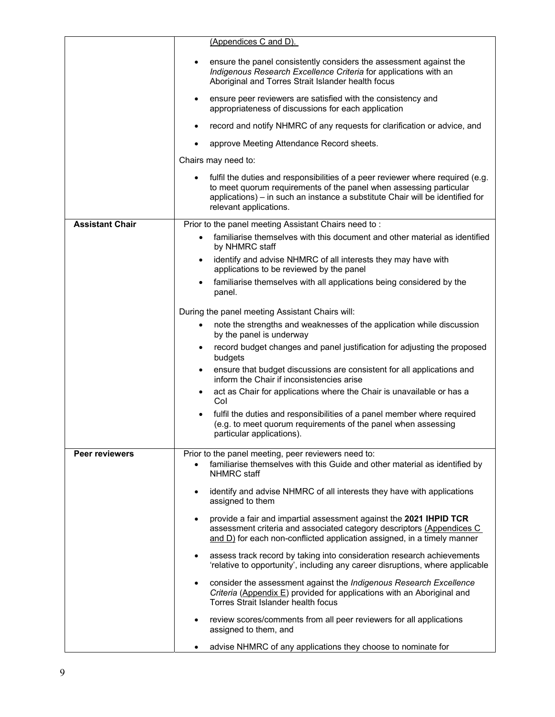|                        | (Appendices C and D).                                                                                                                                                                                                                                           |  |
|------------------------|-----------------------------------------------------------------------------------------------------------------------------------------------------------------------------------------------------------------------------------------------------------------|--|
|                        | ensure the panel consistently considers the assessment against the<br>Indigenous Research Excellence Criteria for applications with an<br>Aboriginal and Torres Strait Islander health focus                                                                    |  |
|                        | ensure peer reviewers are satisfied with the consistency and<br>appropriateness of discussions for each application                                                                                                                                             |  |
|                        | record and notify NHMRC of any requests for clarification or advice, and                                                                                                                                                                                        |  |
|                        | approve Meeting Attendance Record sheets.                                                                                                                                                                                                                       |  |
|                        | Chairs may need to:                                                                                                                                                                                                                                             |  |
|                        | fulfil the duties and responsibilities of a peer reviewer where required (e.g.<br>to meet quorum requirements of the panel when assessing particular<br>applications) - in such an instance a substitute Chair will be identified for<br>relevant applications. |  |
| <b>Assistant Chair</b> | Prior to the panel meeting Assistant Chairs need to:                                                                                                                                                                                                            |  |
|                        | familiarise themselves with this document and other material as identified<br>٠<br>by NHMRC staff                                                                                                                                                               |  |
|                        | identify and advise NHMRC of all interests they may have with<br>$\bullet$<br>applications to be reviewed by the panel                                                                                                                                          |  |
|                        | familiarise themselves with all applications being considered by the<br>$\bullet$<br>panel.                                                                                                                                                                     |  |
|                        | During the panel meeting Assistant Chairs will:                                                                                                                                                                                                                 |  |
|                        | note the strengths and weaknesses of the application while discussion<br>٠<br>by the panel is underway                                                                                                                                                          |  |
|                        | record budget changes and panel justification for adjusting the proposed<br>$\bullet$<br>budgets                                                                                                                                                                |  |
|                        | ensure that budget discussions are consistent for all applications and<br>$\bullet$<br>inform the Chair if inconsistencies arise                                                                                                                                |  |
|                        | act as Chair for applications where the Chair is unavailable or has a<br>$\bullet$<br>Col                                                                                                                                                                       |  |
|                        | fulfil the duties and responsibilities of a panel member where required<br>$\bullet$<br>(e.g. to meet quorum requirements of the panel when assessing<br>particular applications).                                                                              |  |
| <b>Peer reviewers</b>  | Prior to the panel meeting, peer reviewers need to:<br>familiarise themselves with this Guide and other material as identified by<br>NHMRC staff                                                                                                                |  |
|                        | identify and advise NHMRC of all interests they have with applications<br>assigned to them                                                                                                                                                                      |  |
|                        | provide a fair and impartial assessment against the 2021 IHPID TCR<br>assessment criteria and associated category descriptors (Appendices C<br>and D) for each non-conflicted application assigned, in a timely manner                                          |  |
|                        | assess track record by taking into consideration research achievements<br>$\bullet$<br>'relative to opportunity', including any career disruptions, where applicable                                                                                            |  |
|                        | consider the assessment against the Indigenous Research Excellence<br>Criteria (Appendix E) provided for applications with an Aboriginal and<br>Torres Strait Islander health focus                                                                             |  |
|                        | review scores/comments from all peer reviewers for all applications<br>$\bullet$<br>assigned to them, and                                                                                                                                                       |  |
|                        | advise NHMRC of any applications they choose to nominate for                                                                                                                                                                                                    |  |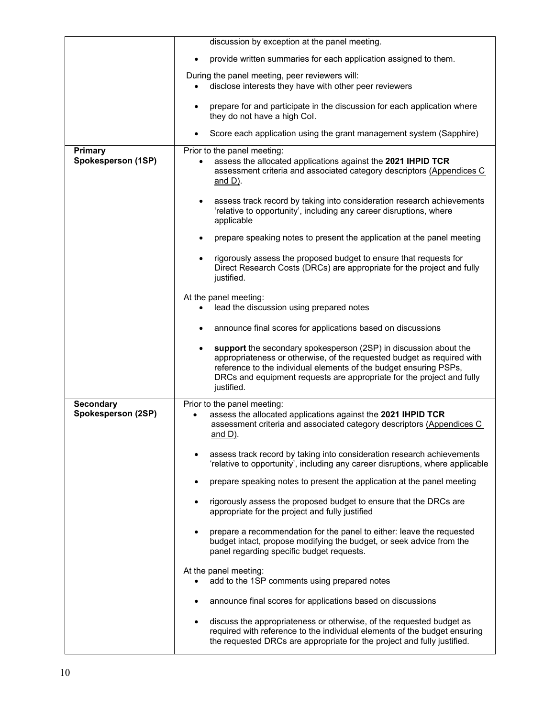|                               | discussion by exception at the panel meeting.                                                                                                                                                                                                                                                          |  |
|-------------------------------|--------------------------------------------------------------------------------------------------------------------------------------------------------------------------------------------------------------------------------------------------------------------------------------------------------|--|
|                               | provide written summaries for each application assigned to them.                                                                                                                                                                                                                                       |  |
|                               | During the panel meeting, peer reviewers will:<br>disclose interests they have with other peer reviewers                                                                                                                                                                                               |  |
|                               | prepare for and participate in the discussion for each application where<br>they do not have a high Col.                                                                                                                                                                                               |  |
|                               | Score each application using the grant management system (Sapphire)                                                                                                                                                                                                                                    |  |
| Primary<br>Spokesperson (1SP) | Prior to the panel meeting:<br>assess the allocated applications against the 2021 IHPID TCR<br>assessment criteria and associated category descriptors (Appendices C<br>and D).                                                                                                                        |  |
|                               | assess track record by taking into consideration research achievements<br>'relative to opportunity', including any career disruptions, where<br>applicable                                                                                                                                             |  |
|                               | prepare speaking notes to present the application at the panel meeting                                                                                                                                                                                                                                 |  |
|                               | rigorously assess the proposed budget to ensure that requests for<br>Direct Research Costs (DRCs) are appropriate for the project and fully<br>justified.                                                                                                                                              |  |
|                               | At the panel meeting:                                                                                                                                                                                                                                                                                  |  |
|                               | lead the discussion using prepared notes                                                                                                                                                                                                                                                               |  |
|                               | announce final scores for applications based on discussions                                                                                                                                                                                                                                            |  |
|                               | support the secondary spokesperson (2SP) in discussion about the<br>appropriateness or otherwise, of the requested budget as required with<br>reference to the individual elements of the budget ensuring PSPs,<br>DRCs and equipment requests are appropriate for the project and fully<br>justified. |  |
| <b>Secondary</b>              | Prior to the panel meeting:                                                                                                                                                                                                                                                                            |  |
| Spokesperson (2SP)            | assess the allocated applications against the 2021 IHPID TCR<br>assessment criteria and associated category descriptors (Appendices C<br><u>and D)</u> .                                                                                                                                               |  |
|                               | assess track record by taking into consideration research achievements<br>'relative to opportunity', including any career disruptions, where applicable                                                                                                                                                |  |
|                               | prepare speaking notes to present the application at the panel meeting                                                                                                                                                                                                                                 |  |
|                               | rigorously assess the proposed budget to ensure that the DRCs are<br>$\bullet$<br>appropriate for the project and fully justified                                                                                                                                                                      |  |
|                               | prepare a recommendation for the panel to either: leave the requested<br>budget intact, propose modifying the budget, or seek advice from the<br>panel regarding specific budget requests.                                                                                                             |  |
|                               | At the panel meeting:<br>add to the 1SP comments using prepared notes                                                                                                                                                                                                                                  |  |
|                               | announce final scores for applications based on discussions                                                                                                                                                                                                                                            |  |
|                               | discuss the appropriateness or otherwise, of the requested budget as<br>$\bullet$<br>required with reference to the individual elements of the budget ensuring<br>the requested DRCs are appropriate for the project and fully justified.                                                              |  |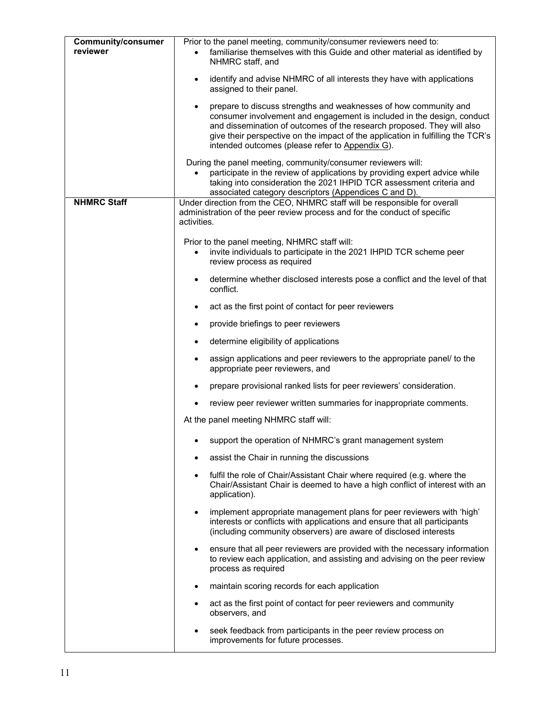| <b>Community/consumer</b> | Prior to the panel meeting, community/consumer reviewers need to:                                                                                                                                                           |  |
|---------------------------|-----------------------------------------------------------------------------------------------------------------------------------------------------------------------------------------------------------------------------|--|
| reviewer                  | familiarise themselves with this Guide and other material as identified by<br>NHMRC staff, and                                                                                                                              |  |
|                           |                                                                                                                                                                                                                             |  |
|                           | identify and advise NHMRC of all interests they have with applications<br>assigned to their panel.                                                                                                                          |  |
|                           | prepare to discuss strengths and weaknesses of how community and                                                                                                                                                            |  |
|                           | consumer involvement and engagement is included in the design, conduct                                                                                                                                                      |  |
|                           | and dissemination of outcomes of the research proposed. They will also<br>give their perspective on the impact of the application in fulfilling the TCR's                                                                   |  |
|                           | intended outcomes (please refer to Appendix G).                                                                                                                                                                             |  |
|                           | During the panel meeting, community/consumer reviewers will:                                                                                                                                                                |  |
|                           | participate in the review of applications by providing expert advice while<br>taking into consideration the 2021 IHPID TCR assessment criteria and                                                                          |  |
|                           | associated category descriptors (Appendices C and D).                                                                                                                                                                       |  |
| <b>NHMRC Staff</b>        | Under direction from the CEO, NHMRC staff will be responsible for overall                                                                                                                                                   |  |
|                           | administration of the peer review process and for the conduct of specific<br>activities.                                                                                                                                    |  |
|                           | Prior to the panel meeting, NHMRC staff will:                                                                                                                                                                               |  |
|                           | invite individuals to participate in the 2021 IHPID TCR scheme peer                                                                                                                                                         |  |
|                           | review process as required                                                                                                                                                                                                  |  |
|                           | determine whether disclosed interests pose a conflict and the level of that<br>conflict.                                                                                                                                    |  |
|                           | act as the first point of contact for peer reviewers                                                                                                                                                                        |  |
|                           | provide briefings to peer reviewers                                                                                                                                                                                         |  |
|                           | determine eligibility of applications<br>٠                                                                                                                                                                                  |  |
|                           | assign applications and peer reviewers to the appropriate panel/ to the<br>appropriate peer reviewers, and                                                                                                                  |  |
|                           | prepare provisional ranked lists for peer reviewers' consideration.                                                                                                                                                         |  |
|                           | review peer reviewer written summaries for inappropriate comments.                                                                                                                                                          |  |
|                           | At the panel meeting NHMRC staff will:                                                                                                                                                                                      |  |
|                           | support the operation of NHMRC's grant management system                                                                                                                                                                    |  |
|                           | assist the Chair in running the discussions                                                                                                                                                                                 |  |
|                           | fulfil the role of Chair/Assistant Chair where required (e.g. where the<br>$\bullet$<br>Chair/Assistant Chair is deemed to have a high conflict of interest with an<br>application).                                        |  |
|                           | implement appropriate management plans for peer reviewers with 'high'<br>٠<br>interests or conflicts with applications and ensure that all participants<br>(including community observers) are aware of disclosed interests |  |
|                           | ensure that all peer reviewers are provided with the necessary information<br>$\bullet$<br>to review each application, and assisting and advising on the peer review<br>process as required                                 |  |
|                           | maintain scoring records for each application<br>$\bullet$                                                                                                                                                                  |  |
|                           | act as the first point of contact for peer reviewers and community<br>$\bullet$<br>observers, and                                                                                                                           |  |
|                           | seek feedback from participants in the peer review process on<br>$\bullet$<br>improvements for future processes.                                                                                                            |  |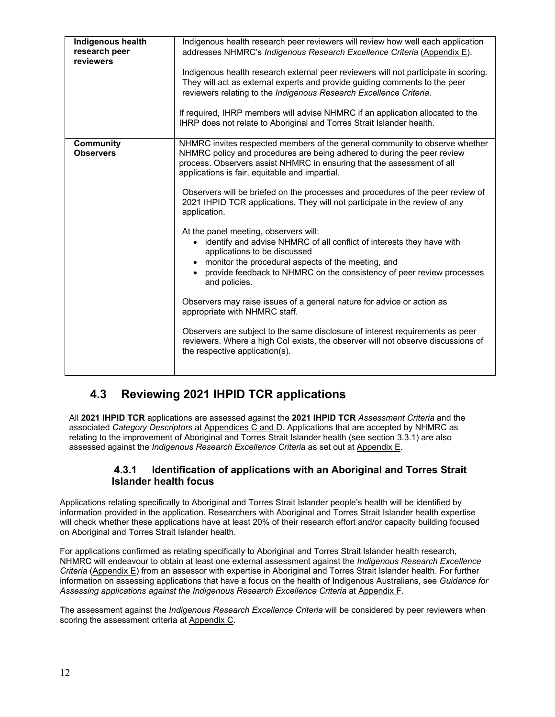| Indigenous health<br>research peer<br>reviewers | Indigenous health research peer reviewers will review how well each application<br>addresses NHMRC's Indigenous Research Excellence Criteria (Appendix E).<br>Indigenous health research external peer reviewers will not participate in scoring.<br>They will act as external experts and provide guiding comments to the peer<br>reviewers relating to the Indigenous Research Excellence Criteria.<br>If required, IHRP members will advise NHMRC if an application allocated to the<br>IHRP does not relate to Aboriginal and Torres Strait Islander health.                                                                                                                                                                                                                                                                                                                                                                                                                                                                                                                                        |
|-------------------------------------------------|---------------------------------------------------------------------------------------------------------------------------------------------------------------------------------------------------------------------------------------------------------------------------------------------------------------------------------------------------------------------------------------------------------------------------------------------------------------------------------------------------------------------------------------------------------------------------------------------------------------------------------------------------------------------------------------------------------------------------------------------------------------------------------------------------------------------------------------------------------------------------------------------------------------------------------------------------------------------------------------------------------------------------------------------------------------------------------------------------------|
| <b>Community</b><br><b>Observers</b>            | NHMRC invites respected members of the general community to observe whether<br>NHMRC policy and procedures are being adhered to during the peer review<br>process. Observers assist NHMRC in ensuring that the assessment of all<br>applications is fair, equitable and impartial.<br>Observers will be briefed on the processes and procedures of the peer review of<br>2021 IHPID TCR applications. They will not participate in the review of any<br>application.<br>At the panel meeting, observers will:<br>identify and advise NHMRC of all conflict of interests they have with<br>$\bullet$<br>applications to be discussed<br>• monitor the procedural aspects of the meeting, and<br>provide feedback to NHMRC on the consistency of peer review processes<br>and policies.<br>Observers may raise issues of a general nature for advice or action as<br>appropriate with NHMRC staff.<br>Observers are subject to the same disclosure of interest requirements as peer<br>reviewers. Where a high Col exists, the observer will not observe discussions of<br>the respective application(s). |

## **4.3 Reviewing 2021 IHPID TCR applications**

All **2021 IHPID TCR** applications are assessed against the **2021 IHPID TCR** *Assessment Criteria* and the associated *Category Descriptors* at Appendices C and D. Applications that are accepted by NHMRC as relating to the improvement of Aboriginal and Torres Strait Islander health (see section 3.3.1) are also assessed against the *Indigenous Research Excellence Criteria* as set out at Appendix E*.* 

## **4.3.1 Identification of applications with an Aboriginal and Torres Strait Islander health focus**

Applications relating specifically to Aboriginal and Torres Strait Islander people's health will be identified by information provided in the application. Researchers with Aboriginal and Torres Strait Islander health expertise will check whether these applications have at least 20% of their research effort and/or capacity building focused on Aboriginal and Torres Strait Islander health.

For applications confirmed as relating specifically to Aboriginal and Torres Strait Islander health research, NHMRC will endeavour to obtain at least one external assessment against the *Indigenous Research Excellence Criteria* (Appendix E) from an assessor with expertise in Aboriginal and Torres Strait Islander health. For further information on assessing applications that have a focus on the health of Indigenous Australians, see *Guidance for Assessing applications against the Indigenous Research Excellence Criteria* at Appendix F.

The assessment against the *Indigenous Research Excellence Criteria* will be considered by peer reviewers when scoring the assessment criteria at Appendix C.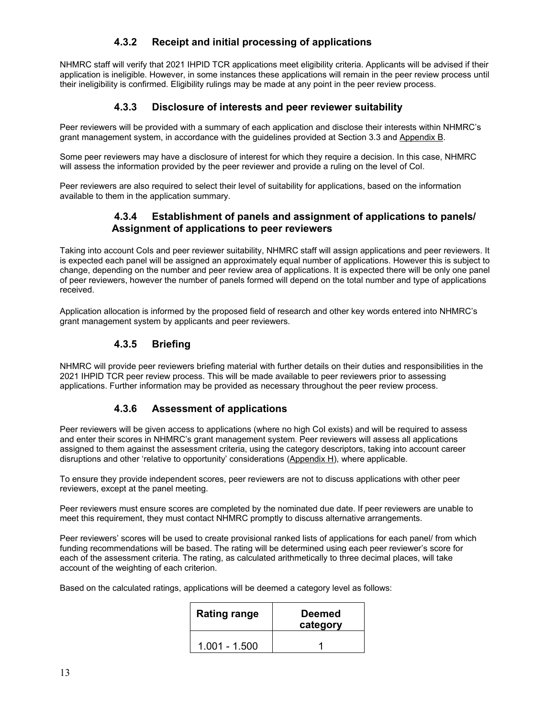## **4.3.2 Receipt and initial processing of applications**

NHMRC staff will verify that 2021 IHPID TCR applications meet eligibility criteria. Applicants will be advised if their application is ineligible. However, in some instances these applications will remain in the peer review process until their ineligibility is confirmed. Eligibility rulings may be made at any point in the peer review process.

## **4.3.3 Disclosure of interests and peer reviewer suitability**

Peer reviewers will be provided with a summary of each application and disclose their interests within NHMRC's grant management system, in accordance with the guidelines provided at Section 3.3 and Appendix B.

Some peer reviewers may have a disclosure of interest for which they require a decision. In this case, NHMRC will assess the information provided by the peer reviewer and provide a ruling on the level of CoI.

Peer reviewers are also required to select their level of suitability for applications, based on the information available to them in the application summary.

## **4.3.4 Establishment of panels and assignment of applications to panels/ Assignment of applications to peer reviewers**

Taking into account CoIs and peer reviewer suitability, NHMRC staff will assign applications and peer reviewers. It is expected each panel will be assigned an approximately equal number of applications. However this is subject to change, depending on the number and peer review area of applications. It is expected there will be only one panel of peer reviewers, however the number of panels formed will depend on the total number and type of applications received.

Application allocation is informed by the proposed field of research and other key words entered into NHMRC's grant management system by applicants and peer reviewers.

## **4.3.5 Briefing**

NHMRC will provide peer reviewers briefing material with further details on their duties and responsibilities in the 2021 IHPID TCR peer review process. This will be made available to peer reviewers prior to assessing applications. Further information may be provided as necessary throughout the peer review process.

## **4.3.6 Assessment of applications**

Peer reviewers will be given access to applications (where no high CoI exists) and will be required to assess and enter their scores in NHMRC's grant management system. Peer reviewers will assess all applications assigned to them against the assessment criteria, using the category descriptors, taking into account career disruptions and other 'relative to opportunity' considerations (Appendix H), where applicable.

To ensure they provide independent scores, peer reviewers are not to discuss applications with other peer reviewers, except at the panel meeting.

Peer reviewers must ensure scores are completed by the nominated due date. If peer reviewers are unable to meet this requirement, they must contact NHMRC promptly to discuss alternative arrangements.

Peer reviewers' scores will be used to create provisional ranked lists of applications for each panel/ from which funding recommendations will be based. The rating will be determined using each peer reviewer's score for each of the assessment criteria. The rating, as calculated arithmetically to three decimal places, will take account of the weighting of each criterion.

Based on the calculated ratings, applications will be deemed a category level as follows:

| <b>Rating range</b> | <b>Deemed</b><br>category |
|---------------------|---------------------------|
| $1.001 - 1.500$     |                           |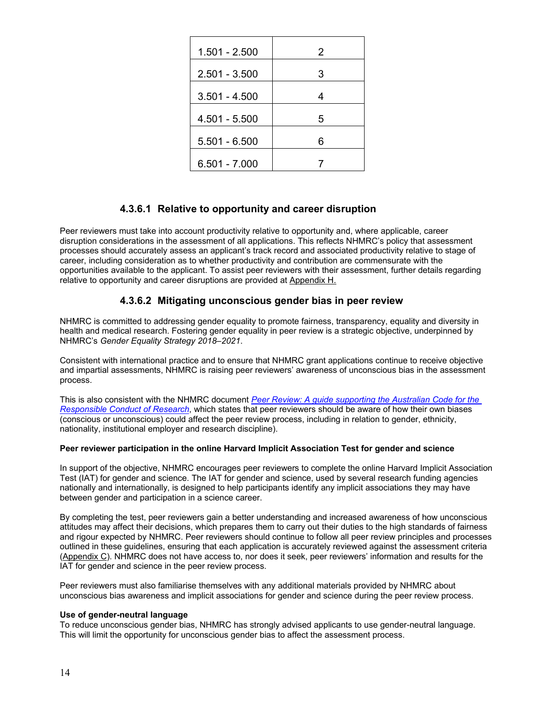| 1.501 - 2.500   | 2 |
|-----------------|---|
| $2.501 - 3.500$ | 3 |
| $3.501 - 4.500$ | 4 |
| 4.501 - 5.500   | 5 |
| $5.501 - 6.500$ | հ |
| $6.501 - 7.000$ |   |

## **4.3.6.1 Relative to opportunity and career disruption**

Peer reviewers must take into account productivity relative to opportunity and, where applicable, career disruption considerations in the assessment of all applications. This reflects NHMRC's policy that assessment processes should accurately assess an applicant's track record and associated productivity relative to stage of career, including consideration as to whether productivity and contribution are commensurate with the opportunities available to the applicant. To assist peer reviewers with their assessment, further details regarding relative to opportunity and career disruptions are provided at Appendix H.

## **4.3.6.2 Mitigating unconscious gender bias in peer review**

NHMRC is committed to addressing gender equality to promote fairness, transparency, equality and diversity in health and medical research. Fostering gender equality in peer review is a strategic objective, underpinned by NHMRC's *Gender Equality Strategy 2018–2021*.

Consistent with international practice and to ensure that NHMRC grant applications continue to receive objective and impartial assessments, NHMRC is raising peer reviewers' awareness of unconscious bias in the assessment process.

This is also consistent with the NHMRC document *Peer Review: A guide supporting the Australian Code for the Responsible Conduct of Research*, which states that peer reviewers should be aware of how their own biases (conscious or unconscious) could affect the peer review process, including in relation to gender, ethnicity, nationality, institutional employer and research discipline).

#### **Peer reviewer participation in the online Harvard Implicit Association Test for gender and science**

In support of the objective, NHMRC encourages peer reviewers to complete the online Harvard Implicit Association Test (IAT) for gender and science. The IAT for gender and science, used by several research funding agencies nationally and internationally, is designed to help participants identify any implicit associations they may have between gender and participation in a science career.

By completing the test, peer reviewers gain a better understanding and increased awareness of how unconscious attitudes may affect their decisions, which prepares them to carry out their duties to the high standards of fairness and rigour expected by NHMRC. Peer reviewers should continue to follow all peer review principles and processes outlined in these guidelines, ensuring that each application is accurately reviewed against the assessment criteria (Appendix C). NHMRC does not have access to, nor does it seek, peer reviewers' information and results for the IAT for gender and science in the peer review process.

Peer reviewers must also familiarise themselves with any additional materials provided by NHMRC about unconscious bias awareness and implicit associations for gender and science during the peer review process.

#### **Use of gender-neutral language**

To reduce unconscious gender bias, NHMRC has strongly advised applicants to use gender-neutral language. This will limit the opportunity for unconscious gender bias to affect the assessment process.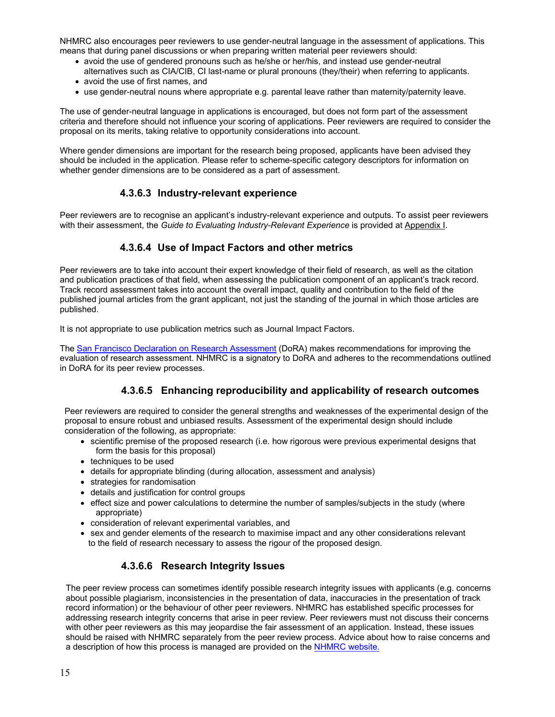NHMRC also encourages peer reviewers to use gender-neutral language in the assessment of applications. This means that during panel discussions or when preparing written material peer reviewers should:

- avoid the use of gendered pronouns such as he/she or her/his, and instead use gender-neutral alternatives such as CIA/CIB, CI last-name or plural pronouns (they/their) when referring to applicants.
- avoid the use of first names, and
- use gender-neutral nouns where appropriate e.g. parental leave rather than maternity/paternity leave.

The use of gender-neutral language in applications is encouraged, but does not form part of the assessment criteria and therefore should not influence your scoring of applications. Peer reviewers are required to consider the proposal on its merits, taking relative to opportunity considerations into account.

Where gender dimensions are important for the research being proposed, applicants have been advised they should be included in the application. Please refer to scheme-specific category descriptors for information on whether gender dimensions are to be considered as a part of assessment.

## **4.3.6.3 Industry-relevant experience**

Peer reviewers are to recognise an applicant's industry-relevant experience and outputs. To assist peer reviewers with their assessment, the *Guide to Evaluating Industry-Relevant Experience* is provided at Appendix I.

## **4.3.6.4 Use of Impact Factors and other metrics**

Peer reviewers are to take into account their expert knowledge of their field of research, as well as the citation and publication practices of that field, when assessing the publication component of an applicant's track record. Track record assessment takes into account the overall impact, quality and contribution to the field of the published journal articles from the grant applicant, not just the standing of the journal in which those articles are published.

It is not appropriate to use publication metrics such as Journal Impact Factors.

The San Francisco Declaration on Research Assessment (DoRA) makes recommendations for improving the evaluation of research assessment. NHMRC is a signatory to DoRA and adheres to the recommendations outlined in DoRA for its peer review processes.

## **4.3.6.5 Enhancing reproducibility and applicability of research outcomes**

Peer reviewers are required to consider the general strengths and weaknesses of the experimental design of the proposal to ensure robust and unbiased results. Assessment of the experimental design should include consideration of the following, as appropriate:

- scientific premise of the proposed research (i.e. how rigorous were previous experimental designs that form the basis for this proposal)
- techniques to be used
- details for appropriate blinding (during allocation, assessment and analysis)
- strategies for randomisation
- details and justification for control groups
- effect size and power calculations to determine the number of samples/subjects in the study (where appropriate)
- consideration of relevant experimental variables, and
- sex and gender elements of the research to maximise impact and any other considerations relevant to the field of research necessary to assess the rigour of the proposed design.

## **4.3.6.6 Research Integrity Issues**

The peer review process can sometimes identify possible research integrity issues with applicants (e.g. concerns about possible plagiarism, inconsistencies in the presentation of data, inaccuracies in the presentation of track record information) or the behaviour of other peer reviewers. NHMRC has established specific processes for addressing research integrity concerns that arise in peer review. Peer reviewers must not discuss their concerns with other peer reviewers as this may jeopardise the fair assessment of an application. Instead, these issues should be raised with NHMRC separately from the peer review process. Advice about how to raise concerns and a description of how this process is managed are provided on the NHMRC website.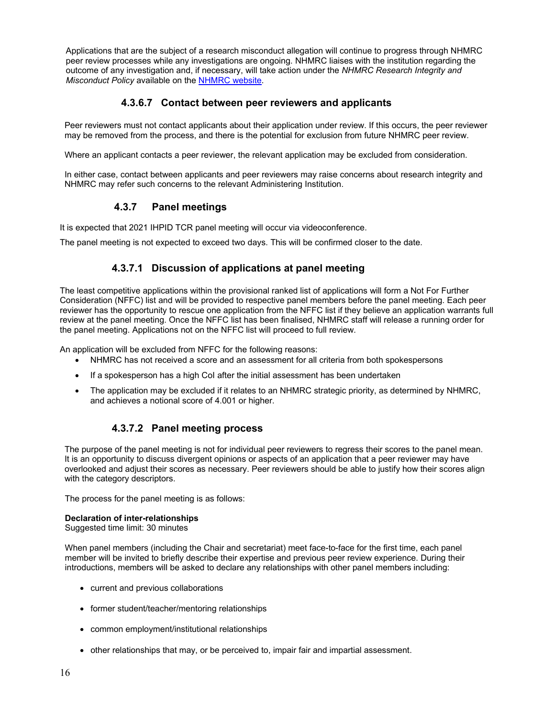Applications that are the subject of a research misconduct allegation will continue to progress through NHMRC peer review processes while any investigations are ongoing. NHMRC liaises with the institution regarding the outcome of any investigation and, if necessary, will take action under the *NHMRC Research Integrity and Misconduct Policy* available on the NHMRC website.

### **4.3.6.7 Contact between peer reviewers and applicants**

Peer reviewers must not contact applicants about their application under review. If this occurs, the peer reviewer may be removed from the process, and there is the potential for exclusion from future NHMRC peer review.

Where an applicant contacts a peer reviewer, the relevant application may be excluded from consideration.

In either case, contact between applicants and peer reviewers may raise concerns about research integrity and NHMRC may refer such concerns to the relevant Administering Institution.

### **4.3.7 Panel meetings**

It is expected that 2021 IHPID TCR panel meeting will occur via videoconference.

The panel meeting is not expected to exceed two days. This will be confirmed closer to the date.

### **4.3.7.1 Discussion of applications at panel meeting**

The least competitive applications within the provisional ranked list of applications will form a Not For Further Consideration (NFFC) list and will be provided to respective panel members before the panel meeting. Each peer reviewer has the opportunity to rescue one application from the NFFC list if they believe an application warrants full review at the panel meeting. Once the NFFC list has been finalised, NHMRC staff will release a running order for the panel meeting. Applications not on the NFFC list will proceed to full review.

An application will be excluded from NFFC for the following reasons:

- NHMRC has not received a score and an assessment for all criteria from both spokespersons
- If a spokesperson has a high CoI after the initial assessment has been undertaken
- The application may be excluded if it relates to an NHMRC strategic priority, as determined by NHMRC, and achieves a notional score of 4.001 or higher.

## **4.3.7.2 Panel meeting process**

The purpose of the panel meeting is not for individual peer reviewers to regress their scores to the panel mean. It is an opportunity to discuss divergent opinions or aspects of an application that a peer reviewer may have overlooked and adjust their scores as necessary. Peer reviewers should be able to justify how their scores align with the category descriptors.

The process for the panel meeting is as follows:

#### **Declaration of inter-relationships**

Suggested time limit: 30 minutes

When panel members (including the Chair and secretariat) meet face-to-face for the first time, each panel member will be invited to briefly describe their expertise and previous peer review experience. During their introductions, members will be asked to declare any relationships with other panel members including:

- current and previous collaborations
- former student/teacher/mentoring relationships
- common employment/institutional relationships
- other relationships that may, or be perceived to, impair fair and impartial assessment.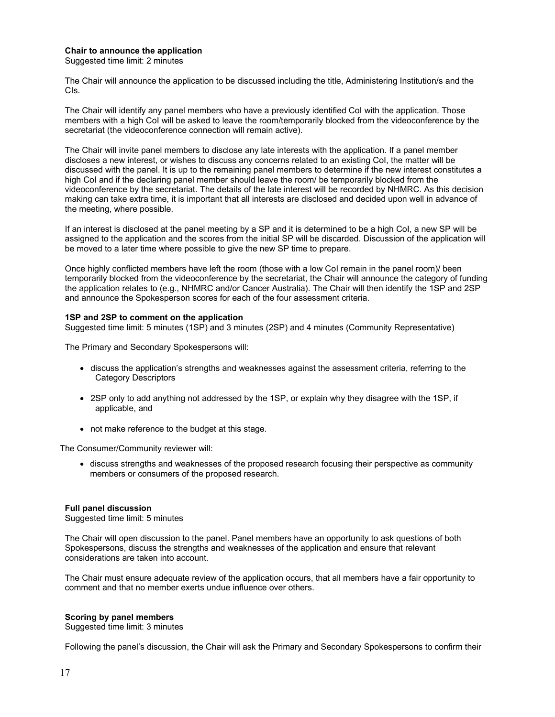#### **Chair to announce the application**

Suggested time limit: 2 minutes

The Chair will announce the application to be discussed including the title, Administering Institution/s and the CIs.

The Chair will identify any panel members who have a previously identified CoI with the application. Those members with a high CoI will be asked to leave the room/temporarily blocked from the videoconference by the secretariat (the videoconference connection will remain active).

The Chair will invite panel members to disclose any late interests with the application. If a panel member discloses a new interest, or wishes to discuss any concerns related to an existing CoI, the matter will be discussed with the panel. It is up to the remaining panel members to determine if the new interest constitutes a high CoI and if the declaring panel member should leave the room/ be temporarily blocked from the videoconference by the secretariat. The details of the late interest will be recorded by NHMRC. As this decision making can take extra time, it is important that all interests are disclosed and decided upon well in advance of the meeting, where possible.

If an interest is disclosed at the panel meeting by a SP and it is determined to be a high CoI, a new SP will be assigned to the application and the scores from the initial SP will be discarded. Discussion of the application will be moved to a later time where possible to give the new SP time to prepare.

Once highly conflicted members have left the room (those with a low CoI remain in the panel room)/ been temporarily blocked from the videoconference by the secretariat, the Chair will announce the category of funding the application relates to (e.g., NHMRC and/or Cancer Australia). The Chair will then identify the 1SP and 2SP and announce the Spokesperson scores for each of the four assessment criteria.

#### **1SP and 2SP to comment on the application**

Suggested time limit: 5 minutes (1SP) and 3 minutes (2SP) and 4 minutes (Community Representative)

The Primary and Secondary Spokespersons will:

- discuss the application's strengths and weaknesses against the assessment criteria, referring to the Category Descriptors
- 2SP only to add anything not addressed by the 1SP, or explain why they disagree with the 1SP, if applicable, and
- not make reference to the budget at this stage.

The Consumer/Community reviewer will:

 discuss strengths and weaknesses of the proposed research focusing their perspective as community members or consumers of the proposed research.

#### **Full panel discussion**

Suggested time limit: 5 minutes

The Chair will open discussion to the panel. Panel members have an opportunity to ask questions of both Spokespersons, discuss the strengths and weaknesses of the application and ensure that relevant considerations are taken into account.

The Chair must ensure adequate review of the application occurs, that all members have a fair opportunity to comment and that no member exerts undue influence over others.

#### **Scoring by panel members**

Suggested time limit: 3 minutes

Following the panel's discussion, the Chair will ask the Primary and Secondary Spokespersons to confirm their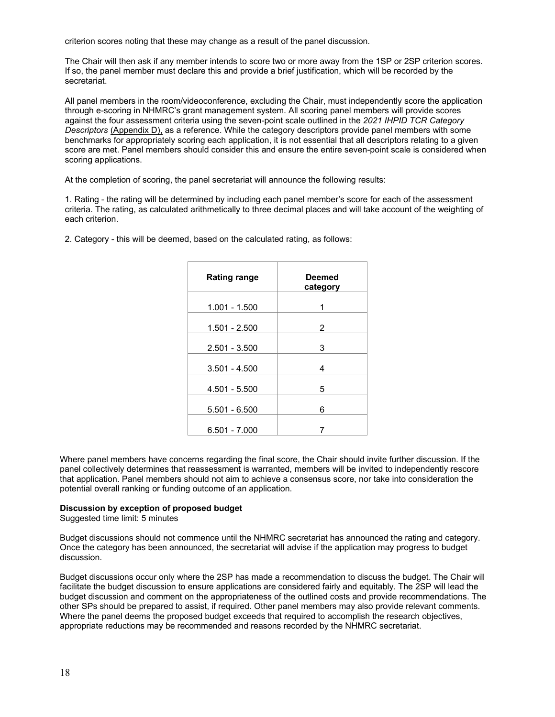criterion scores noting that these may change as a result of the panel discussion.

The Chair will then ask if any member intends to score two or more away from the 1SP or 2SP criterion scores. If so, the panel member must declare this and provide a brief justification, which will be recorded by the secretariat.

All panel members in the room/videoconference, excluding the Chair, must independently score the application through e-scoring in NHMRC's grant management system. All scoring panel members will provide scores against the four assessment criteria using the seven-point scale outlined in the *2021 IHPID TCR Category Descriptors* (Appendix D), as a reference. While the category descriptors provide panel members with some benchmarks for appropriately scoring each application, it is not essential that all descriptors relating to a given score are met. Panel members should consider this and ensure the entire seven-point scale is considered when scoring applications.

At the completion of scoring, the panel secretariat will announce the following results:

1. Rating - the rating will be determined by including each panel member's score for each of the assessment criteria. The rating, as calculated arithmetically to three decimal places and will take account of the weighting of each criterion.

| <b>Rating range</b> | Deemed<br>category |
|---------------------|--------------------|
| $1.001 - 1.500$     | 1                  |
| $1.501 - 2.500$     | 2                  |
| $2.501 - 3.500$     | 3                  |
| $3.501 - 4.500$     | 4                  |
| $4.501 - 5.500$     | 5                  |
| $5.501 - 6.500$     | 6                  |
| $6.501 - 7.000$     |                    |

2. Category - this will be deemed, based on the calculated rating, as follows:

Where panel members have concerns regarding the final score, the Chair should invite further discussion. If the panel collectively determines that reassessment is warranted, members will be invited to independently rescore that application. Panel members should not aim to achieve a consensus score, nor take into consideration the potential overall ranking or funding outcome of an application.

#### **Discussion by exception of proposed budget**

Suggested time limit: 5 minutes

Budget discussions should not commence until the NHMRC secretariat has announced the rating and category. Once the category has been announced, the secretariat will advise if the application may progress to budget discussion.

Budget discussions occur only where the 2SP has made a recommendation to discuss the budget. The Chair will facilitate the budget discussion to ensure applications are considered fairly and equitably. The 2SP will lead the budget discussion and comment on the appropriateness of the outlined costs and provide recommendations. The other SPs should be prepared to assist, if required. Other panel members may also provide relevant comments. Where the panel deems the proposed budget exceeds that required to accomplish the research objectives, appropriate reductions may be recommended and reasons recorded by the NHMRC secretariat.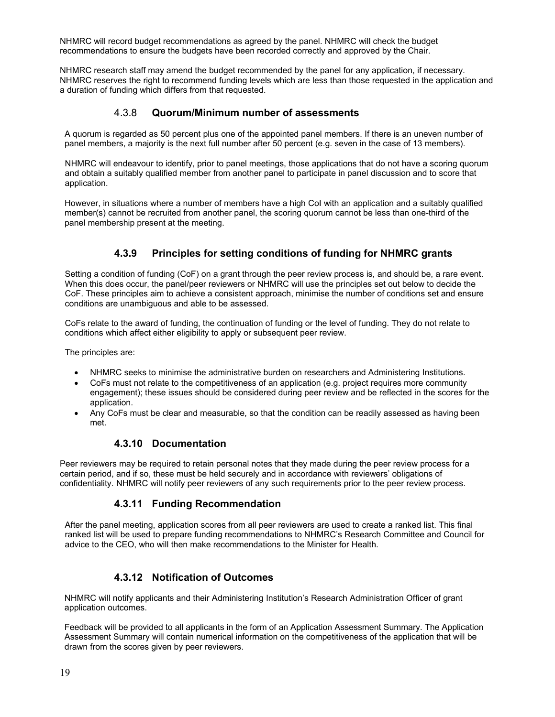NHMRC will record budget recommendations as agreed by the panel. NHMRC will check the budget recommendations to ensure the budgets have been recorded correctly and approved by the Chair.

NHMRC research staff may amend the budget recommended by the panel for any application, if necessary. NHMRC reserves the right to recommend funding levels which are less than those requested in the application and a duration of funding which differs from that requested.

### 4.3.8 **Quorum/Minimum number of assessments**

A quorum is regarded as 50 percent plus one of the appointed panel members. If there is an uneven number of panel members, a majority is the next full number after 50 percent (e.g. seven in the case of 13 members).

NHMRC will endeavour to identify, prior to panel meetings, those applications that do not have a scoring quorum and obtain a suitably qualified member from another panel to participate in panel discussion and to score that application.

However, in situations where a number of members have a high CoI with an application and a suitably qualified member(s) cannot be recruited from another panel, the scoring quorum cannot be less than one-third of the panel membership present at the meeting.

## **4.3.9 Principles for setting conditions of funding for NHMRC grants**

Setting a condition of funding (CoF) on a grant through the peer review process is, and should be, a rare event. When this does occur, the panel/peer reviewers or NHMRC will use the principles set out below to decide the CoF. These principles aim to achieve a consistent approach, minimise the number of conditions set and ensure conditions are unambiguous and able to be assessed.

CoFs relate to the award of funding, the continuation of funding or the level of funding. They do not relate to conditions which affect either eligibility to apply or subsequent peer review.

The principles are:

- NHMRC seeks to minimise the administrative burden on researchers and Administering Institutions.
- CoFs must not relate to the competitiveness of an application (e.g. project requires more community engagement); these issues should be considered during peer review and be reflected in the scores for the application.
- Any CoFs must be clear and measurable, so that the condition can be readily assessed as having been met.

### **4.3.10 Documentation**

Peer reviewers may be required to retain personal notes that they made during the peer review process for a certain period, and if so, these must be held securely and in accordance with reviewers' obligations of confidentiality. NHMRC will notify peer reviewers of any such requirements prior to the peer review process.

## **4.3.11 Funding Recommendation**

After the panel meeting, application scores from all peer reviewers are used to create a ranked list. This final ranked list will be used to prepare funding recommendations to NHMRC's Research Committee and Council for advice to the CEO, who will then make recommendations to the Minister for Health.

## **4.3.12 Notification of Outcomes**

NHMRC will notify applicants and their Administering Institution's Research Administration Officer of grant application outcomes.

Feedback will be provided to all applicants in the form of an Application Assessment Summary. The Application Assessment Summary will contain numerical information on the competitiveness of the application that will be drawn from the scores given by peer reviewers.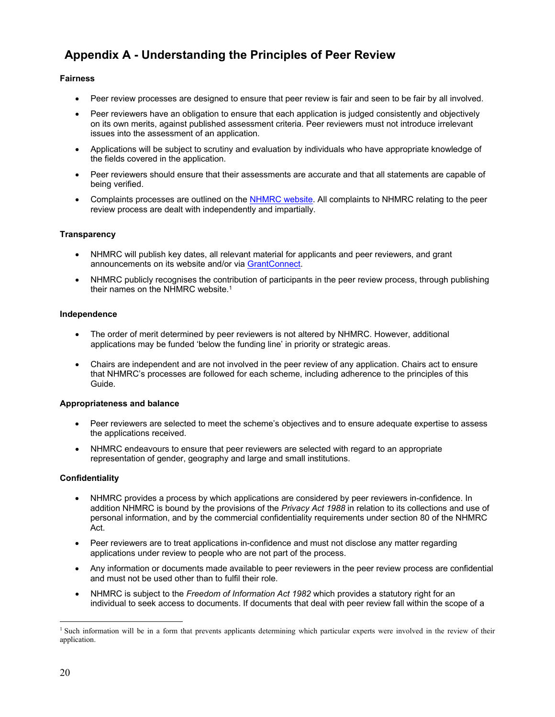## **Appendix A - Understanding the Principles of Peer Review**

### **Fairness**

- Peer review processes are designed to ensure that peer review is fair and seen to be fair by all involved.
- Peer reviewers have an obligation to ensure that each application is judged consistently and objectively on its own merits, against published assessment criteria. Peer reviewers must not introduce irrelevant issues into the assessment of an application.
- Applications will be subject to scrutiny and evaluation by individuals who have appropriate knowledge of the fields covered in the application.
- Peer reviewers should ensure that their assessments are accurate and that all statements are capable of being verified.
- Complaints processes are outlined on the NHMRC website. All complaints to NHMRC relating to the peer review process are dealt with independently and impartially.

#### **Transparency**

- NHMRC will publish key dates, all relevant material for applicants and peer reviewers, and grant announcements on its website and/or via GrantConnect.
- NHMRC publicly recognises the contribution of participants in the peer review process, through publishing their names on the NHMRC website.1

#### **Independence**

- The order of merit determined by peer reviewers is not altered by NHMRC. However, additional applications may be funded 'below the funding line' in priority or strategic areas.
- Chairs are independent and are not involved in the peer review of any application. Chairs act to ensure that NHMRC's processes are followed for each scheme, including adherence to the principles of this Guide.

#### **Appropriateness and balance**

- Peer reviewers are selected to meet the scheme's objectives and to ensure adequate expertise to assess the applications received.
- NHMRC endeavours to ensure that peer reviewers are selected with regard to an appropriate representation of gender, geography and large and small institutions.

#### **Confidentiality**

- NHMRC provides a process by which applications are considered by peer reviewers in-confidence. In addition NHMRC is bound by the provisions of the *Privacy Act 1988* in relation to its collections and use of personal information, and by the commercial confidentiality requirements under section 80 of the NHMRC Act.
- Peer reviewers are to treat applications in-confidence and must not disclose any matter regarding applications under review to people who are not part of the process.
- Any information or documents made available to peer reviewers in the peer review process are confidential and must not be used other than to fulfil their role.
- NHMRC is subject to the *Freedom of Information Act 1982* which provides a statutory right for an individual to seek access to documents. If documents that deal with peer review fall within the scope of a

 $\overline{a}$ 

<sup>&</sup>lt;sup>1</sup> Such information will be in a form that prevents applicants determining which particular experts were involved in the review of their application.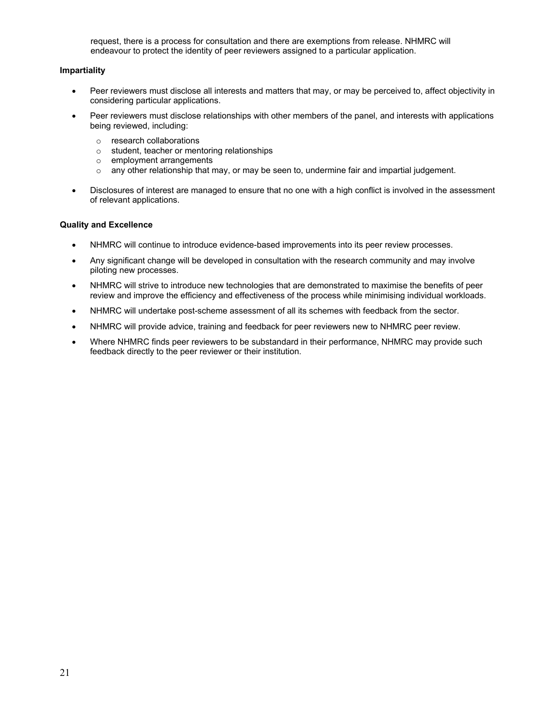request, there is a process for consultation and there are exemptions from release. NHMRC will endeavour to protect the identity of peer reviewers assigned to a particular application.

#### **Impartiality**

- Peer reviewers must disclose all interests and matters that may, or may be perceived to, affect objectivity in considering particular applications.
- Peer reviewers must disclose relationships with other members of the panel, and interests with applications being reviewed, including:
	- o research collaborations
	- o student, teacher or mentoring relationships
	- o employment arrangements
	- $\circ$  any other relationship that may, or may be seen to, undermine fair and impartial judgement.
- Disclosures of interest are managed to ensure that no one with a high conflict is involved in the assessment of relevant applications.

#### **Quality and Excellence**

- NHMRC will continue to introduce evidence-based improvements into its peer review processes.
- Any significant change will be developed in consultation with the research community and may involve piloting new processes.
- NHMRC will strive to introduce new technologies that are demonstrated to maximise the benefits of peer review and improve the efficiency and effectiveness of the process while minimising individual workloads.
- NHMRC will undertake post-scheme assessment of all its schemes with feedback from the sector.
- NHMRC will provide advice, training and feedback for peer reviewers new to NHMRC peer review.
- Where NHMRC finds peer reviewers to be substandard in their performance, NHMRC may provide such feedback directly to the peer reviewer or their institution.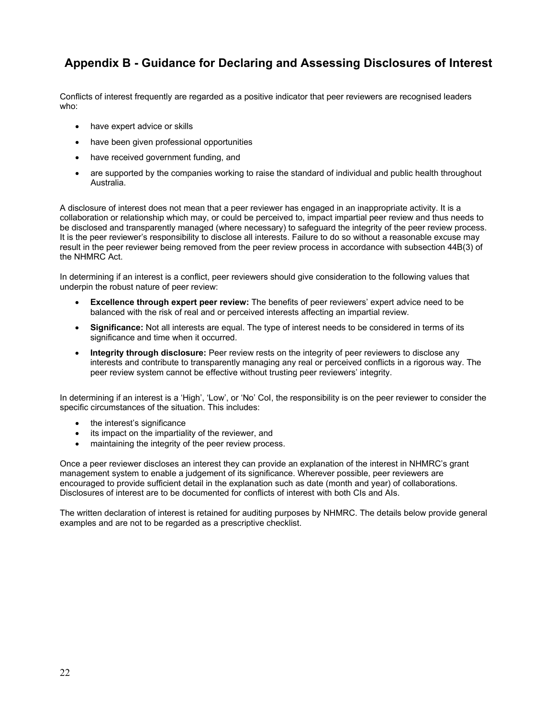## **Appendix B - Guidance for Declaring and Assessing Disclosures of Interest**

Conflicts of interest frequently are regarded as a positive indicator that peer reviewers are recognised leaders who:

- have expert advice or skills
- have been given professional opportunities
- have received government funding, and
- are supported by the companies working to raise the standard of individual and public health throughout Australia.

A disclosure of interest does not mean that a peer reviewer has engaged in an inappropriate activity. It is a collaboration or relationship which may, or could be perceived to, impact impartial peer review and thus needs to be disclosed and transparently managed (where necessary) to safeguard the integrity of the peer review process. It is the peer reviewer's responsibility to disclose all interests. Failure to do so without a reasonable excuse may result in the peer reviewer being removed from the peer review process in accordance with subsection 44B(3) of the NHMRC Act.

In determining if an interest is a conflict, peer reviewers should give consideration to the following values that underpin the robust nature of peer review:

- **Excellence through expert peer review:** The benefits of peer reviewers' expert advice need to be balanced with the risk of real and or perceived interests affecting an impartial review.
- **Significance:** Not all interests are equal. The type of interest needs to be considered in terms of its significance and time when it occurred.
- **Integrity through disclosure:** Peer review rests on the integrity of peer reviewers to disclose any interests and contribute to transparently managing any real or perceived conflicts in a rigorous way. The peer review system cannot be effective without trusting peer reviewers' integrity.

In determining if an interest is a 'High', 'Low', or 'No' CoI, the responsibility is on the peer reviewer to consider the specific circumstances of the situation. This includes:

- the interest's significance
- its impact on the impartiality of the reviewer, and
- maintaining the integrity of the peer review process.

Once a peer reviewer discloses an interest they can provide an explanation of the interest in NHMRC's grant management system to enable a judgement of its significance. Wherever possible, peer reviewers are encouraged to provide sufficient detail in the explanation such as date (month and year) of collaborations. Disclosures of interest are to be documented for conflicts of interest with both CIs and AIs.

The written declaration of interest is retained for auditing purposes by NHMRC. The details below provide general examples and are not to be regarded as a prescriptive checklist.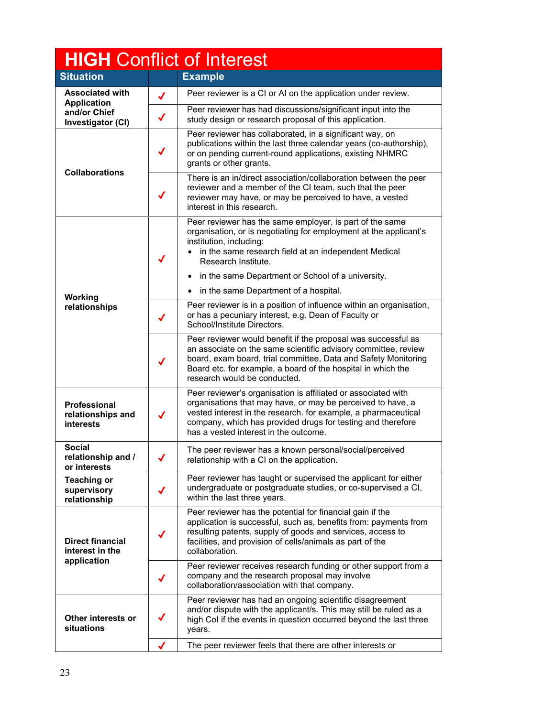| <b>HIGH Conflict of Interest</b>                                                                    |                                                                                                                                                                                                                                                                                                        |                                                                                                                                                                                                                                                                            |  |  |
|-----------------------------------------------------------------------------------------------------|--------------------------------------------------------------------------------------------------------------------------------------------------------------------------------------------------------------------------------------------------------------------------------------------------------|----------------------------------------------------------------------------------------------------------------------------------------------------------------------------------------------------------------------------------------------------------------------------|--|--|
| <b>Situation</b><br><b>Example</b>                                                                  |                                                                                                                                                                                                                                                                                                        |                                                                                                                                                                                                                                                                            |  |  |
| <b>Associated with</b><br><b>Application</b>                                                        | ✔                                                                                                                                                                                                                                                                                                      | Peer reviewer is a CI or AI on the application under review.                                                                                                                                                                                                               |  |  |
| and/or Chief<br>Investigator (CI)                                                                   | $\checkmark$                                                                                                                                                                                                                                                                                           | Peer reviewer has had discussions/significant input into the<br>study design or research proposal of this application.                                                                                                                                                     |  |  |
|                                                                                                     | $\checkmark$                                                                                                                                                                                                                                                                                           | Peer reviewer has collaborated, in a significant way, on<br>publications within the last three calendar years (co-authorship),<br>or on pending current-round applications, existing NHMRC<br>grants or other grants.                                                      |  |  |
| <b>Collaborations</b>                                                                               | ✔                                                                                                                                                                                                                                                                                                      | There is an in/direct association/collaboration between the peer<br>reviewer and a member of the CI team, such that the peer<br>reviewer may have, or may be perceived to have, a vested<br>interest in this research.                                                     |  |  |
|                                                                                                     | $\checkmark$                                                                                                                                                                                                                                                                                           | Peer reviewer has the same employer, is part of the same<br>organisation, or is negotiating for employment at the applicant's<br>institution, including:<br>in the same research field at an independent Medical<br>$\bullet$<br>Research Institute.                       |  |  |
|                                                                                                     |                                                                                                                                                                                                                                                                                                        | in the same Department or School of a university.<br>$\bullet$                                                                                                                                                                                                             |  |  |
| Working                                                                                             |                                                                                                                                                                                                                                                                                                        | in the same Department of a hospital.<br>$\bullet$                                                                                                                                                                                                                         |  |  |
| relationships                                                                                       | $\checkmark$                                                                                                                                                                                                                                                                                           | Peer reviewer is in a position of influence within an organisation,<br>or has a pecuniary interest, e.g. Dean of Faculty or<br>School/Institute Directors.                                                                                                                 |  |  |
|                                                                                                     | Peer reviewer would benefit if the proposal was successful as<br>an associate on the same scientific advisory committee, review<br>board, exam board, trial committee, Data and Safety Monitoring<br>✔<br>Board etc. for example, a board of the hospital in which the<br>research would be conducted. |                                                                                                                                                                                                                                                                            |  |  |
| Professional<br>relationships and<br>✔<br><b>interests</b><br>has a vested interest in the outcome. |                                                                                                                                                                                                                                                                                                        | Peer reviewer's organisation is affiliated or associated with<br>organisations that may have, or may be perceived to have, a<br>vested interest in the research. for example, a pharmaceutical<br>company, which has provided drugs for testing and therefore              |  |  |
| <b>Social</b><br>relationship and /<br>or interests                                                 |                                                                                                                                                                                                                                                                                                        | The peer reviewer has a known personal/social/perceived<br>relationship with a CI on the application.                                                                                                                                                                      |  |  |
| <b>Teaching or</b><br>supervisory<br>relationship                                                   | ✔                                                                                                                                                                                                                                                                                                      | Peer reviewer has taught or supervised the applicant for either<br>undergraduate or postgraduate studies, or co-supervised a CI,<br>within the last three years.                                                                                                           |  |  |
| <b>Direct financial</b><br>interest in the                                                          | $\checkmark$                                                                                                                                                                                                                                                                                           | Peer reviewer has the potential for financial gain if the<br>application is successful, such as, benefits from: payments from<br>resulting patents, supply of goods and services, access to<br>facilities, and provision of cells/animals as part of the<br>collaboration. |  |  |
| application                                                                                         | ✔                                                                                                                                                                                                                                                                                                      | Peer reviewer receives research funding or other support from a<br>company and the research proposal may involve<br>collaboration/association with that company.                                                                                                           |  |  |
| Other interests or<br>situations                                                                    |                                                                                                                                                                                                                                                                                                        | Peer reviewer has had an ongoing scientific disagreement<br>and/or dispute with the applicant/s. This may still be ruled as a<br>high Col if the events in question occurred beyond the last three<br>years.                                                               |  |  |
|                                                                                                     |                                                                                                                                                                                                                                                                                                        | The peer reviewer feels that there are other interests or                                                                                                                                                                                                                  |  |  |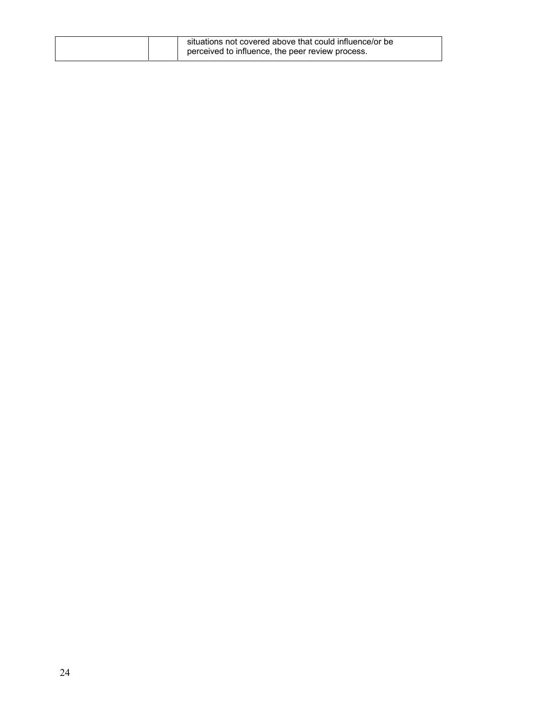| situations not covered above that could influence/or be |                                                  |
|---------------------------------------------------------|--------------------------------------------------|
|                                                         | perceived to influence, the peer review process. |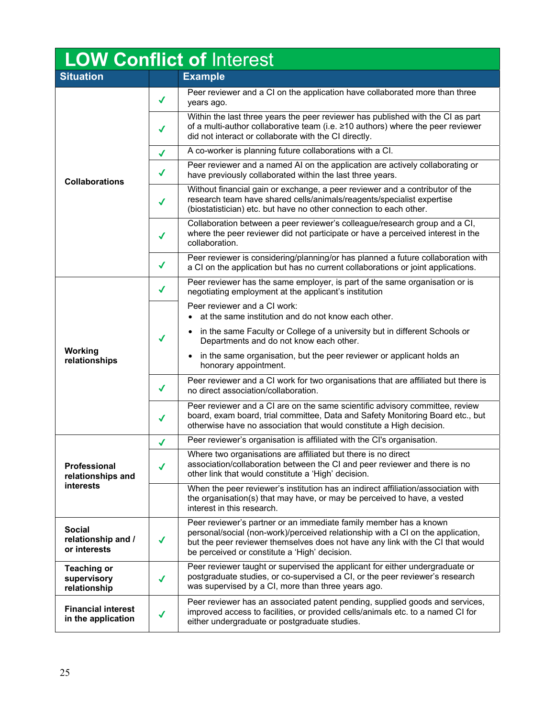| LOW Conflict of Interest                            |              |                                                                                                                                                                                                                                                                                                      |  |  |
|-----------------------------------------------------|--------------|------------------------------------------------------------------------------------------------------------------------------------------------------------------------------------------------------------------------------------------------------------------------------------------------------|--|--|
| <b>Situation</b>                                    |              | <b>Example</b>                                                                                                                                                                                                                                                                                       |  |  |
|                                                     | $\checkmark$ | Peer reviewer and a CI on the application have collaborated more than three<br>years ago.                                                                                                                                                                                                            |  |  |
|                                                     | J            | Within the last three years the peer reviewer has published with the CI as part<br>of a multi-author collaborative team (i.e. ≥10 authors) where the peer reviewer<br>did not interact or collaborate with the CI directly.                                                                          |  |  |
|                                                     | $\checkmark$ | A co-worker is planning future collaborations with a CI.                                                                                                                                                                                                                                             |  |  |
| <b>Collaborations</b>                               | $\checkmark$ | Peer reviewer and a named AI on the application are actively collaborating or<br>have previously collaborated within the last three years.                                                                                                                                                           |  |  |
|                                                     | ✔            | Without financial gain or exchange, a peer reviewer and a contributor of the<br>research team have shared cells/animals/reagents/specialist expertise<br>(biostatistician) etc. but have no other connection to each other.                                                                          |  |  |
|                                                     | J            | Collaboration between a peer reviewer's colleague/research group and a CI,<br>where the peer reviewer did not participate or have a perceived interest in the<br>collaboration.                                                                                                                      |  |  |
|                                                     | $\checkmark$ | Peer reviewer is considering/planning/or has planned a future collaboration with<br>a CI on the application but has no current collaborations or joint applications.                                                                                                                                 |  |  |
|                                                     | √            | Peer reviewer has the same employer, is part of the same organisation or is<br>negotiating employment at the applicant's institution                                                                                                                                                                 |  |  |
| Working<br>relationships                            | $\checkmark$ | Peer reviewer and a CI work:<br>at the same institution and do not know each other.<br>• in the same Faculty or College of a university but in different Schools or<br>Departments and do not know each other.<br>in the same organisation, but the peer reviewer or applicant holds an<br>$\bullet$ |  |  |
|                                                     | √            | honorary appointment.<br>Peer reviewer and a CI work for two organisations that are affiliated but there is<br>no direct association/collaboration.                                                                                                                                                  |  |  |
|                                                     | J            | Peer reviewer and a CI are on the same scientific advisory committee, review<br>board, exam board, trial committee, Data and Safety Monitoring Board etc., but<br>otherwise have no association that would constitute a High decision.                                                               |  |  |
|                                                     | ✔            | Peer reviewer's organisation is affiliated with the CI's organisation.                                                                                                                                                                                                                               |  |  |
| Professional<br>relationships and                   | $\checkmark$ | Where two organisations are affiliated but there is no direct<br>association/collaboration between the CI and peer reviewer and there is no<br>other link that would constitute a 'High' decision.                                                                                                   |  |  |
| interests                                           |              | When the peer reviewer's institution has an indirect affiliation/association with<br>the organisation(s) that may have, or may be perceived to have, a vested<br>interest in this research.                                                                                                          |  |  |
| <b>Social</b><br>relationship and /<br>or interests | $\checkmark$ | Peer reviewer's partner or an immediate family member has a known<br>personal/social (non-work)/perceived relationship with a CI on the application,<br>but the peer reviewer themselves does not have any link with the CI that would<br>be perceived or constitute a 'High' decision.              |  |  |
| <b>Teaching or</b><br>supervisory<br>relationship   | ✔            | Peer reviewer taught or supervised the applicant for either undergraduate or<br>postgraduate studies, or co-supervised a CI, or the peer reviewer's research<br>was supervised by a CI, more than three years ago.                                                                                   |  |  |
| <b>Financial interest</b><br>in the application     | √            | Peer reviewer has an associated patent pending, supplied goods and services,<br>improved access to facilities, or provided cells/animals etc. to a named CI for<br>either undergraduate or postgraduate studies.                                                                                     |  |  |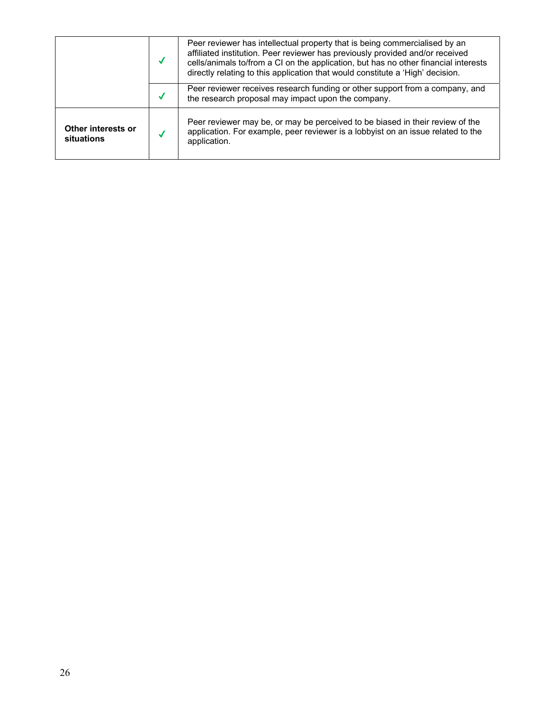|                                  | Peer reviewer has intellectual property that is being commercialised by an<br>affiliated institution. Peer reviewer has previously provided and/or received<br>cells/animals to/from a CI on the application, but has no other financial interests<br>directly relating to this application that would constitute a 'High' decision. |
|----------------------------------|--------------------------------------------------------------------------------------------------------------------------------------------------------------------------------------------------------------------------------------------------------------------------------------------------------------------------------------|
|                                  | Peer reviewer receives research funding or other support from a company, and<br>the research proposal may impact upon the company.                                                                                                                                                                                                   |
| Other interests or<br>situations | Peer reviewer may be, or may be perceived to be biased in their review of the<br>application. For example, peer reviewer is a lobbyist on an issue related to the<br>application.                                                                                                                                                    |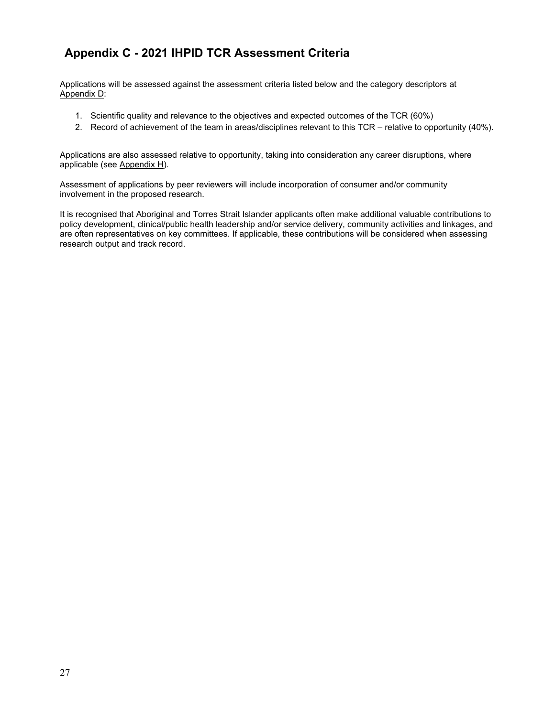## **Appendix C - 2021 IHPID TCR Assessment Criteria**

Applications will be assessed against the assessment criteria listed below and the category descriptors at Appendix D:

- 1. Scientific quality and relevance to the objectives and expected outcomes of the TCR (60%)
- 2. Record of achievement of the team in areas/disciplines relevant to this TCR relative to opportunity (40%).

Applications are also assessed relative to opportunity, taking into consideration any career disruptions, where applicable (see Appendix H).

Assessment of applications by peer reviewers will include incorporation of consumer and/or community involvement in the proposed research.

It is recognised that Aboriginal and Torres Strait Islander applicants often make additional valuable contributions to policy development, clinical/public health leadership and/or service delivery, community activities and linkages, and are often representatives on key committees. If applicable, these contributions will be considered when assessing research output and track record.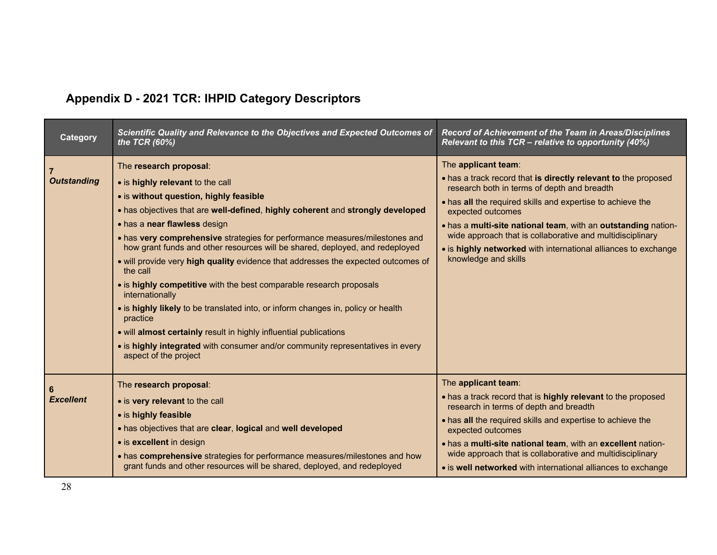# **Appendix D - 2021 TCR: IHPID Category Descriptors**

| Category               | Scientific Quality and Relevance to the Objectives and Expected Outcomes of<br>the TCR $(60\%)$                                                                                                                                                                                                                                                                                                                                                                                                                                                                                                                                                                                                                                                                                                                                                                  | Record of Achievement of the Team in Areas/Disciplines<br>Relevant to this TCR - relative to opportunity (40%)                                                                                                                                                                                                                                                                                                                                  |
|------------------------|------------------------------------------------------------------------------------------------------------------------------------------------------------------------------------------------------------------------------------------------------------------------------------------------------------------------------------------------------------------------------------------------------------------------------------------------------------------------------------------------------------------------------------------------------------------------------------------------------------------------------------------------------------------------------------------------------------------------------------------------------------------------------------------------------------------------------------------------------------------|-------------------------------------------------------------------------------------------------------------------------------------------------------------------------------------------------------------------------------------------------------------------------------------------------------------------------------------------------------------------------------------------------------------------------------------------------|
| <b>Outstanding</b>     | The research proposal:<br>• is highly relevant to the call<br>• is without question, highly feasible<br>. has objectives that are well-defined, highly coherent and strongly developed<br>• has a near flawless design<br>• has very comprehensive strategies for performance measures/milestones and<br>how grant funds and other resources will be shared, deployed, and redeployed<br>• will provide very high quality evidence that addresses the expected outcomes of<br>the call<br>• is highly competitive with the best comparable research proposals<br>internationally<br>• is highly likely to be translated into, or inform changes in, policy or health<br>practice<br>• will almost certainly result in highly influential publications<br>• is highly integrated with consumer and/or community representatives in every<br>aspect of the project | The applicant team:<br>. has a track record that is directly relevant to the proposed<br>research both in terms of depth and breadth<br>. has all the required skills and expertise to achieve the<br>expected outcomes<br>. has a multi-site national team, with an outstanding nation-<br>wide approach that is collaborative and multidisciplinary<br>• is highly networked with international alliances to exchange<br>knowledge and skills |
| -6<br><b>Excellent</b> | The research proposal:<br>• is very relevant to the call<br>• is highly feasible<br>. has objectives that are clear, logical and well developed<br>• is excellent in design<br>• has comprehensive strategies for performance measures/milestones and how<br>grant funds and other resources will be shared, deployed, and redeployed                                                                                                                                                                                                                                                                                                                                                                                                                                                                                                                            | The applicant team:<br>. has a track record that is highly relevant to the proposed<br>research in terms of depth and breadth<br>. has all the required skills and expertise to achieve the<br>expected outcomes<br>. has a multi-site national team, with an excellent nation-<br>wide approach that is collaborative and multidisciplinary<br>• is well networked with international alliances to exchange                                    |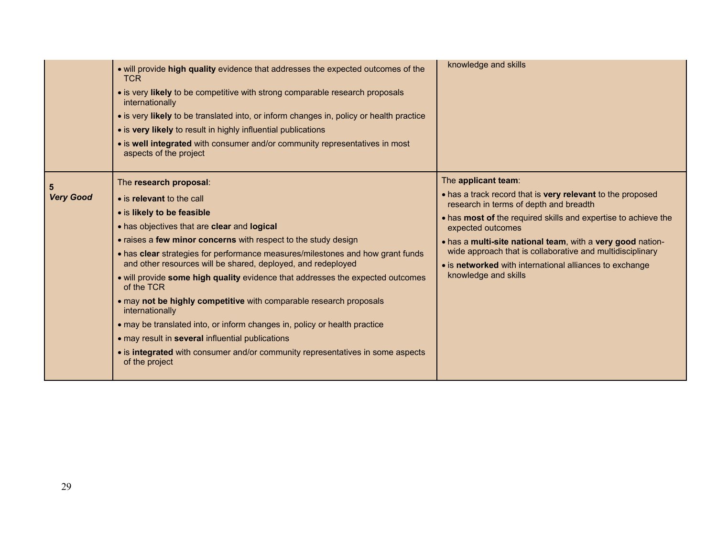|                  | . will provide high quality evidence that addresses the expected outcomes of the<br><b>TCR</b><br>• is very likely to be competitive with strong comparable research proposals<br>internationally<br>• is very likely to be translated into, or inform changes in, policy or health practice<br>• is very likely to result in highly influential publications<br>• is well integrated with consumer and/or community representatives in most<br>aspects of the project                                                                                                                                                                                                                                                                                                             | knowledge and skills                                                                                                                                                                                                                                                                                                                                                                                                             |
|------------------|------------------------------------------------------------------------------------------------------------------------------------------------------------------------------------------------------------------------------------------------------------------------------------------------------------------------------------------------------------------------------------------------------------------------------------------------------------------------------------------------------------------------------------------------------------------------------------------------------------------------------------------------------------------------------------------------------------------------------------------------------------------------------------|----------------------------------------------------------------------------------------------------------------------------------------------------------------------------------------------------------------------------------------------------------------------------------------------------------------------------------------------------------------------------------------------------------------------------------|
| <b>Very Good</b> | The research proposal:<br>• is relevant to the call<br>• is likely to be feasible<br>• has objectives that are clear and logical<br>• raises a few minor concerns with respect to the study design<br>• has clear strategies for performance measures/milestones and how grant funds<br>and other resources will be shared, deployed, and redeployed<br>. will provide some high quality evidence that addresses the expected outcomes<br>of the TCR<br>. may not be highly competitive with comparable research proposals<br>internationally<br>• may be translated into, or inform changes in, policy or health practice<br>• may result in several influential publications<br>• is integrated with consumer and/or community representatives in some aspects<br>of the project | The applicant team:<br>• has a track record that is very relevant to the proposed<br>research in terms of depth and breadth<br>• has most of the required skills and expertise to achieve the<br>expected outcomes<br>. has a multi-site national team, with a very good nation-<br>wide approach that is collaborative and multidisciplinary<br>• is networked with international alliances to exchange<br>knowledge and skills |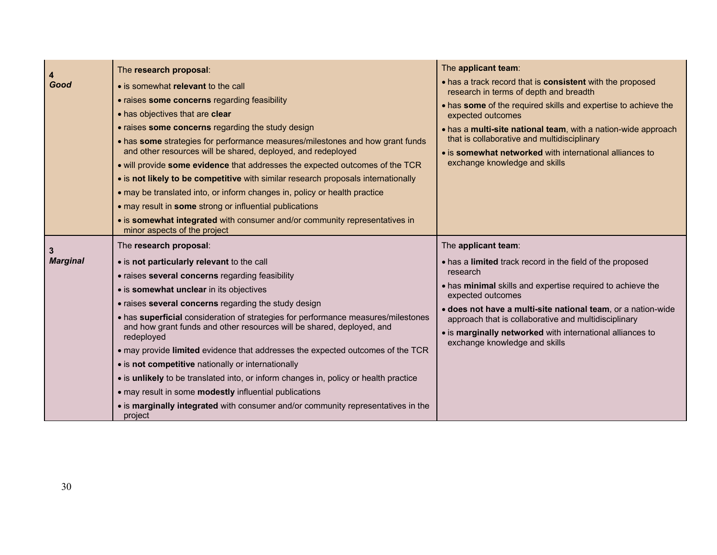| 4                    | The research proposal:                                                                                                                                                                                                                                                                                                                                                                                                                                                                                                                                                                                                                                                                                                                                                                          | The applicant team:                                                                                                                                                                                                                                                                                                                                                                                    |
|----------------------|-------------------------------------------------------------------------------------------------------------------------------------------------------------------------------------------------------------------------------------------------------------------------------------------------------------------------------------------------------------------------------------------------------------------------------------------------------------------------------------------------------------------------------------------------------------------------------------------------------------------------------------------------------------------------------------------------------------------------------------------------------------------------------------------------|--------------------------------------------------------------------------------------------------------------------------------------------------------------------------------------------------------------------------------------------------------------------------------------------------------------------------------------------------------------------------------------------------------|
| Good                 | • is somewhat relevant to the call<br>• raises some concerns regarding feasibility<br>• has objectives that are clear<br>• raises some concerns regarding the study design<br>. has some strategies for performance measures/milestones and how grant funds<br>and other resources will be shared, deployed, and redeployed<br>. will provide some evidence that addresses the expected outcomes of the TCR<br>• is not likely to be competitive with similar research proposals internationally<br>• may be translated into, or inform changes in, policy or health practice<br>• may result in some strong or influential publications<br>• is somewhat integrated with consumer and/or community representatives in<br>minor aspects of the project                                          | . has a track record that is consistent with the proposed<br>research in terms of depth and breadth<br>. has some of the required skills and expertise to achieve the<br>expected outcomes<br>. has a multi-site national team, with a nation-wide approach<br>that is collaborative and multidisciplinary<br>• is somewhat networked with international alliances to<br>exchange knowledge and skills |
| 3<br><b>Marginal</b> | The research proposal:<br>• is not particularly relevant to the call<br>• raises several concerns regarding feasibility<br>• is somewhat unclear in its objectives<br>• raises several concerns regarding the study design<br>• has superficial consideration of strategies for performance measures/milestones<br>and how grant funds and other resources will be shared, deployed, and<br>redeployed<br>• may provide limited evidence that addresses the expected outcomes of the TCR<br>• is not competitive nationally or internationally<br>• is unlikely to be translated into, or inform changes in, policy or health practice<br>• may result in some modestly influential publications<br>• is marginally integrated with consumer and/or community representatives in the<br>project | The applicant team:<br>• has a limited track record in the field of the proposed<br>research<br>• has minimal skills and expertise required to achieve the<br>expected outcomes<br>· does not have a multi-site national team, or a nation-wide<br>approach that is collaborative and multidisciplinary<br>• is marginally networked with international alliances to<br>exchange knowledge and skills  |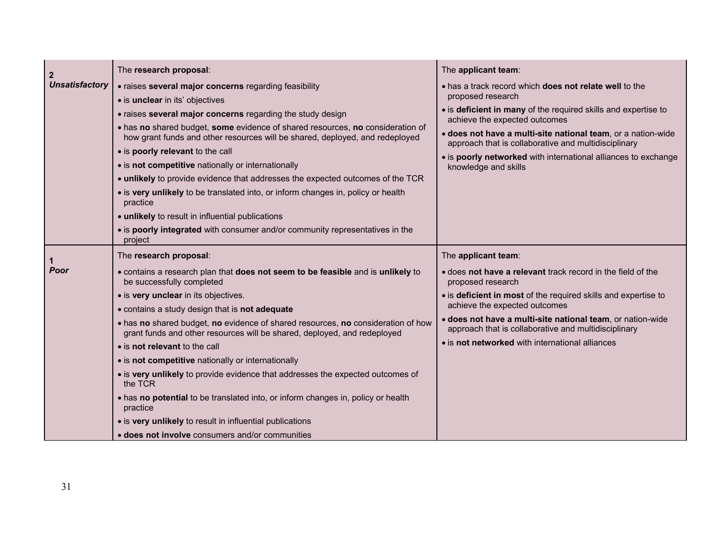| $\mathbf{2}$          | The research proposal:                                                                                                                                         | The applicant team:                                                                                                  |
|-----------------------|----------------------------------------------------------------------------------------------------------------------------------------------------------------|----------------------------------------------------------------------------------------------------------------------|
| <b>Unsatisfactory</b> | • raises several major concerns regarding feasibility                                                                                                          | . has a track record which <b>does not relate well</b> to the                                                        |
|                       | · is unclear in its' objectives                                                                                                                                | proposed research                                                                                                    |
|                       | • raises several major concerns regarding the study design                                                                                                     | • is deficient in many of the required skills and expertise to<br>achieve the expected outcomes                      |
|                       | . has no shared budget, some evidence of shared resources, no consideration of<br>how grant funds and other resources will be shared, deployed, and redeployed | · does not have a multi-site national team, or a nation-wide<br>approach that is collaborative and multidisciplinary |
|                       | • is poorly relevant to the call                                                                                                                               | • is poorly networked with international alliances to exchange                                                       |
|                       | • is not competitive nationally or internationally                                                                                                             | knowledge and skills                                                                                                 |
|                       | . unlikely to provide evidence that addresses the expected outcomes of the TCR                                                                                 |                                                                                                                      |
|                       | • is very unlikely to be translated into, or inform changes in, policy or health<br>practice                                                                   |                                                                                                                      |
|                       | • unlikely to result in influential publications                                                                                                               |                                                                                                                      |
|                       | • is poorly integrated with consumer and/or community representatives in the<br>project                                                                        |                                                                                                                      |
|                       | The research proposal:                                                                                                                                         | The applicant team:                                                                                                  |
| Poor                  | . contains a research plan that does not seem to be feasible and is unlikely to<br>be successfully completed                                                   | • does not have a relevant track record in the field of the<br>proposed research                                     |
|                       | • is very unclear in its objectives.                                                                                                                           | • is deficient in most of the required skills and expertise to                                                       |
|                       | • contains a study design that is not adequate                                                                                                                 | achieve the expected outcomes                                                                                        |
|                       | . has no shared budget, no evidence of shared resources, no consideration of how<br>grant funds and other resources will be shared, deployed, and redeployed   | · does not have a multi-site national team, or nation-wide<br>approach that is collaborative and multidisciplinary   |
|                       | • is not relevant to the call                                                                                                                                  | • is not networked with international alliances                                                                      |
|                       | • is not competitive nationally or internationally                                                                                                             |                                                                                                                      |
|                       | • is very unlikely to provide evidence that addresses the expected outcomes of<br>the TCR                                                                      |                                                                                                                      |
|                       | • has no potential to be translated into, or inform changes in, policy or health<br>practice                                                                   |                                                                                                                      |
|                       | • is very unlikely to result in influential publications                                                                                                       |                                                                                                                      |
|                       | • does not involve consumers and/or communities                                                                                                                |                                                                                                                      |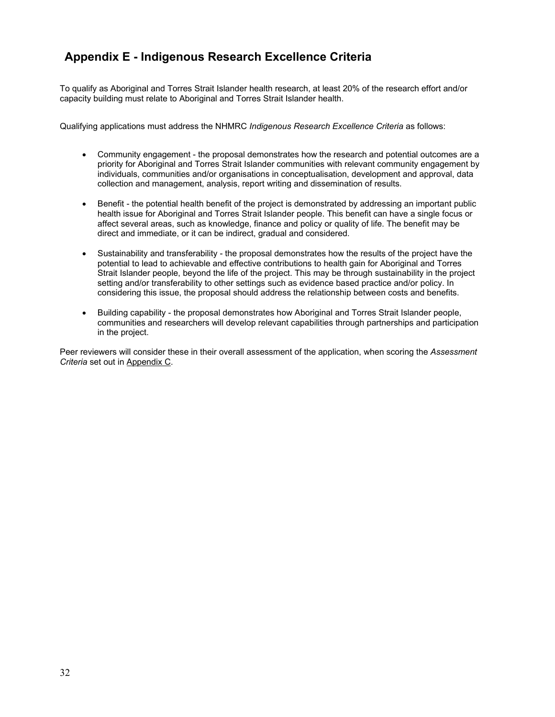## **Appendix E - Indigenous Research Excellence Criteria**

To qualify as Aboriginal and Torres Strait Islander health research, at least 20% of the research effort and/or capacity building must relate to Aboriginal and Torres Strait Islander health.

Qualifying applications must address the NHMRC *Indigenous Research Excellence Criteria* as follows:

- Community engagement the proposal demonstrates how the research and potential outcomes are a priority for Aboriginal and Torres Strait Islander communities with relevant community engagement by individuals, communities and/or organisations in conceptualisation, development and approval, data collection and management, analysis, report writing and dissemination of results.
- Benefit the potential health benefit of the project is demonstrated by addressing an important public health issue for Aboriginal and Torres Strait Islander people. This benefit can have a single focus or affect several areas, such as knowledge, finance and policy or quality of life. The benefit may be direct and immediate, or it can be indirect, gradual and considered.
- Sustainability and transferability the proposal demonstrates how the results of the project have the potential to lead to achievable and effective contributions to health gain for Aboriginal and Torres Strait Islander people, beyond the life of the project. This may be through sustainability in the project setting and/or transferability to other settings such as evidence based practice and/or policy. In considering this issue, the proposal should address the relationship between costs and benefits.
- Building capability the proposal demonstrates how Aboriginal and Torres Strait Islander people, communities and researchers will develop relevant capabilities through partnerships and participation in the project.

Peer reviewers will consider these in their overall assessment of the application, when scoring the *Assessment Criteria* set out in Appendix C.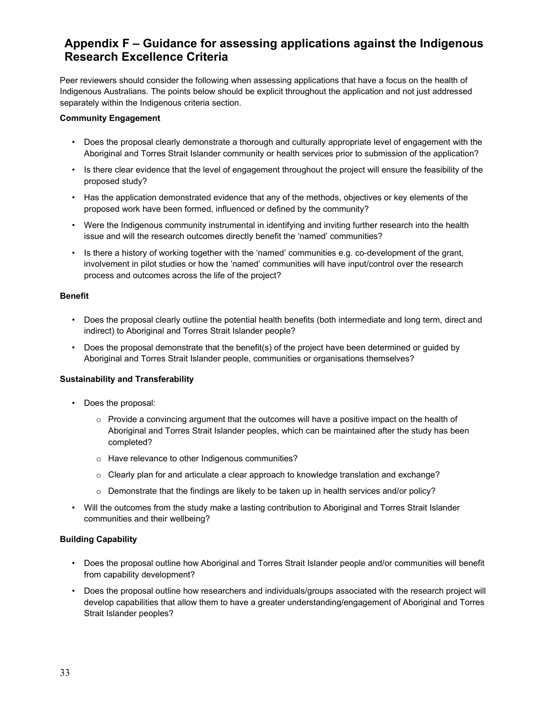## **Appendix F – Guidance for assessing applications against the Indigenous Research Excellence Criteria**

Peer reviewers should consider the following when assessing applications that have a focus on the health of Indigenous Australians. The points below should be explicit throughout the application and not just addressed separately within the Indigenous criteria section.

#### **Community Engagement**

- Does the proposal clearly demonstrate a thorough and culturally appropriate level of engagement with the Aboriginal and Torres Strait Islander community or health services prior to submission of the application?
- Is there clear evidence that the level of engagement throughout the project will ensure the feasibility of the proposed study?
- Has the application demonstrated evidence that any of the methods, objectives or key elements of the proposed work have been formed, influenced or defined by the community?
- Were the Indigenous community instrumental in identifying and inviting further research into the health issue and will the research outcomes directly benefit the 'named' communities?
- Is there a history of working together with the 'named' communities e.g. co-development of the grant, involvement in pilot studies or how the 'named' communities will have input/control over the research process and outcomes across the life of the project?

#### **Benefit**

- Does the proposal clearly outline the potential health benefits (both intermediate and long term, direct and indirect) to Aboriginal and Torres Strait Islander people?
- Does the proposal demonstrate that the benefit(s) of the project have been determined or guided by Aboriginal and Torres Strait Islander people, communities or organisations themselves?

#### **Sustainability and Transferability**

- Does the proposal:
	- $\circ$  Provide a convincing argument that the outcomes will have a positive impact on the health of Aboriginal and Torres Strait Islander peoples, which can be maintained after the study has been completed?
	- o Have relevance to other Indigenous communities?
	- $\circ$  Clearly plan for and articulate a clear approach to knowledge translation and exchange?
	- $\circ$  Demonstrate that the findings are likely to be taken up in health services and/or policy?
- Will the outcomes from the study make a lasting contribution to Aboriginal and Torres Strait Islander communities and their wellbeing?

#### **Building Capability**

- Does the proposal outline how Aboriginal and Torres Strait Islander people and/or communities will benefit from capability development?
- Does the proposal outline how researchers and individuals/groups associated with the research project will develop capabilities that allow them to have a greater understanding/engagement of Aboriginal and Torres Strait Islander peoples?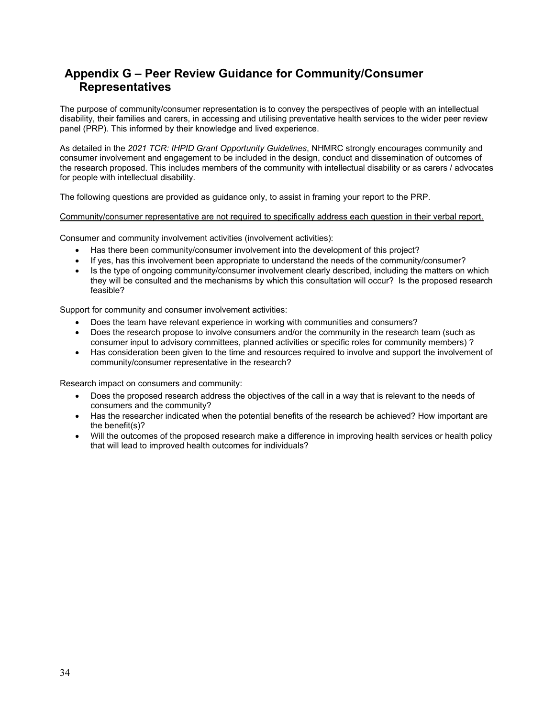## **Appendix G – Peer Review Guidance for Community/Consumer Representatives**

The purpose of community/consumer representation is to convey the perspectives of people with an intellectual disability, their families and carers, in accessing and utilising preventative health services to the wider peer review panel (PRP). This informed by their knowledge and lived experience.

As detailed in the *2021 TCR: IHPID Grant Opportunity Guidelines*, NHMRC strongly encourages community and consumer involvement and engagement to be included in the design, conduct and dissemination of outcomes of the research proposed. This includes members of the community with intellectual disability or as carers / advocates for people with intellectual disability.

The following questions are provided as guidance only, to assist in framing your report to the PRP.

#### Community/consumer representative are not required to specifically address each question in their verbal report.

Consumer and community involvement activities (involvement activities):

- Has there been community/consumer involvement into the development of this project?
- If yes, has this involvement been appropriate to understand the needs of the community/consumer?
- Is the type of ongoing community/consumer involvement clearly described, including the matters on which they will be consulted and the mechanisms by which this consultation will occur? Is the proposed research feasible?

Support for community and consumer involvement activities:

- Does the team have relevant experience in working with communities and consumers?
- Does the research propose to involve consumers and/or the community in the research team (such as consumer input to advisory committees, planned activities or specific roles for community members) ?
- Has consideration been given to the time and resources required to involve and support the involvement of community/consumer representative in the research?

Research impact on consumers and community:

- Does the proposed research address the objectives of the call in a way that is relevant to the needs of consumers and the community?
- Has the researcher indicated when the potential benefits of the research be achieved? How important are the benefit(s)?
- Will the outcomes of the proposed research make a difference in improving health services or health policy that will lead to improved health outcomes for individuals?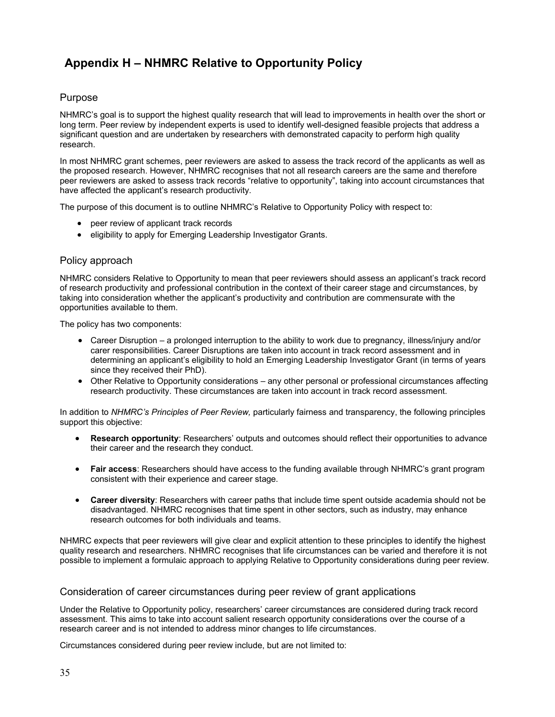## **Appendix H – NHMRC Relative to Opportunity Policy**

### Purpose

NHMRC's goal is to support the highest quality research that will lead to improvements in health over the short or long term. Peer review by independent experts is used to identify well-designed feasible projects that address a significant question and are undertaken by researchers with demonstrated capacity to perform high quality research.

In most NHMRC grant schemes, peer reviewers are asked to assess the track record of the applicants as well as the proposed research. However, NHMRC recognises that not all research careers are the same and therefore peer reviewers are asked to assess track records "relative to opportunity", taking into account circumstances that have affected the applicant's research productivity.

The purpose of this document is to outline NHMRC's Relative to Opportunity Policy with respect to:

- peer review of applicant track records
- **•** eligibility to apply for Emerging Leadership Investigator Grants.

### Policy approach

NHMRC considers Relative to Opportunity to mean that peer reviewers should assess an applicant's track record of research productivity and professional contribution in the context of their career stage and circumstances, by taking into consideration whether the applicant's productivity and contribution are commensurate with the opportunities available to them.

The policy has two components:

- Career Disruption a prolonged interruption to the ability to work due to pregnancy, illness/injury and/or carer responsibilities. Career Disruptions are taken into account in track record assessment and in determining an applicant's eligibility to hold an Emerging Leadership Investigator Grant (in terms of years since they received their PhD).
- Other Relative to Opportunity considerations any other personal or professional circumstances affecting research productivity. These circumstances are taken into account in track record assessment.

In addition to *NHMRC's Principles of Peer Review,* particularly fairness and transparency, the following principles support this objective:

- **Research opportunity**: Researchers' outputs and outcomes should reflect their opportunities to advance their career and the research they conduct.
- **Fair access**: Researchers should have access to the funding available through NHMRC's grant program consistent with their experience and career stage.
- **Career diversity**: Researchers with career paths that include time spent outside academia should not be disadvantaged. NHMRC recognises that time spent in other sectors, such as industry, may enhance research outcomes for both individuals and teams.

NHMRC expects that peer reviewers will give clear and explicit attention to these principles to identify the highest quality research and researchers. NHMRC recognises that life circumstances can be varied and therefore it is not possible to implement a formulaic approach to applying Relative to Opportunity considerations during peer review.

#### Consideration of career circumstances during peer review of grant applications

Under the Relative to Opportunity policy, researchers' career circumstances are considered during track record assessment. This aims to take into account salient research opportunity considerations over the course of a research career and is not intended to address minor changes to life circumstances.

Circumstances considered during peer review include, but are not limited to: